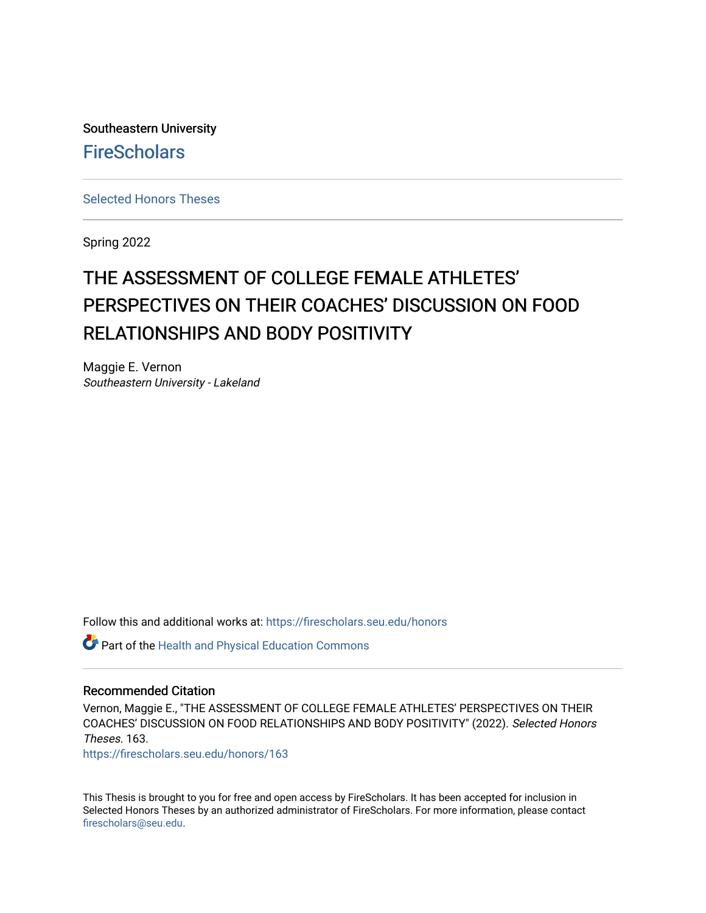Southeastern University **FireScholars** 

[Selected Honors Theses](https://firescholars.seu.edu/honors)

Spring 2022

# THE ASSESSMENT OF COLLEGE FEMALE ATHLETES' PERSPECTIVES ON THEIR COACHES' DISCUSSION ON FOOD RELATIONSHIPS AND BODY POSITIVITY

Maggie E. Vernon Southeastern University - Lakeland

Follow this and additional works at: [https://firescholars.seu.edu/honors](https://firescholars.seu.edu/honors?utm_source=firescholars.seu.edu%2Fhonors%2F163&utm_medium=PDF&utm_campaign=PDFCoverPages)

Part of the [Health and Physical Education Commons](https://network.bepress.com/hgg/discipline/1327?utm_source=firescholars.seu.edu%2Fhonors%2F163&utm_medium=PDF&utm_campaign=PDFCoverPages)

#### Recommended Citation

Vernon, Maggie E., "THE ASSESSMENT OF COLLEGE FEMALE ATHLETES' PERSPECTIVES ON THEIR COACHES' DISCUSSION ON FOOD RELATIONSHIPS AND BODY POSITIVITY" (2022). Selected Honors Theses. 163.

[https://firescholars.seu.edu/honors/163](https://firescholars.seu.edu/honors/163?utm_source=firescholars.seu.edu%2Fhonors%2F163&utm_medium=PDF&utm_campaign=PDFCoverPages)

This Thesis is brought to you for free and open access by FireScholars. It has been accepted for inclusion in Selected Honors Theses by an authorized administrator of FireScholars. For more information, please contact [firescholars@seu.edu.](mailto:firescholars@seu.edu)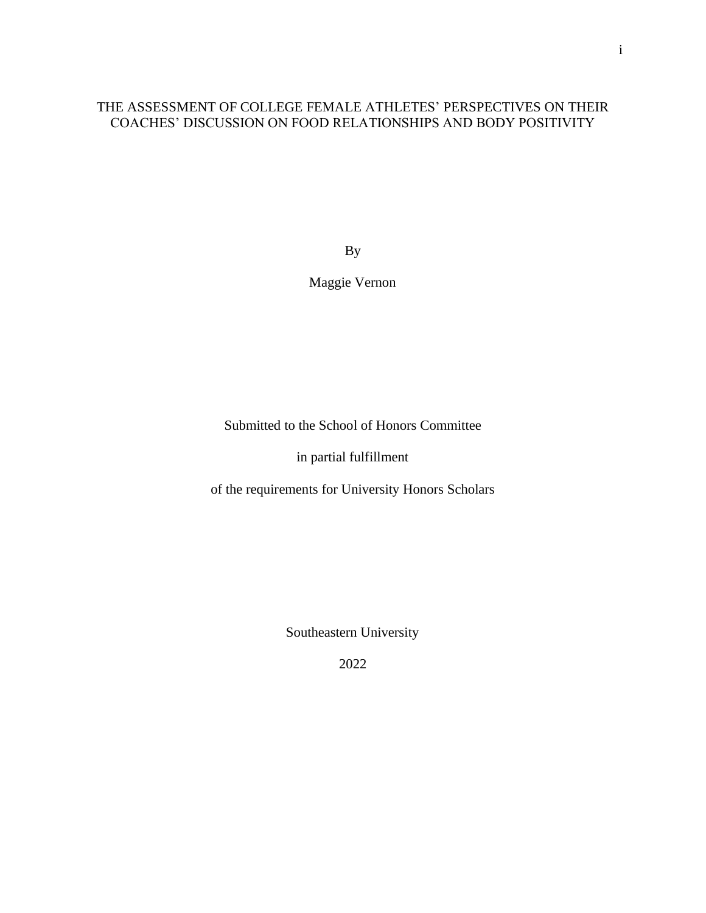# THE ASSESSMENT OF COLLEGE FEMALE ATHLETES' PERSPECTIVES ON THEIR COACHES' DISCUSSION ON FOOD RELATIONSHIPS AND BODY POSITIVITY

By

Maggie Vernon

Submitted to the School of Honors Committee

in partial fulfillment

of the requirements for University Honors Scholars

Southeastern University

2022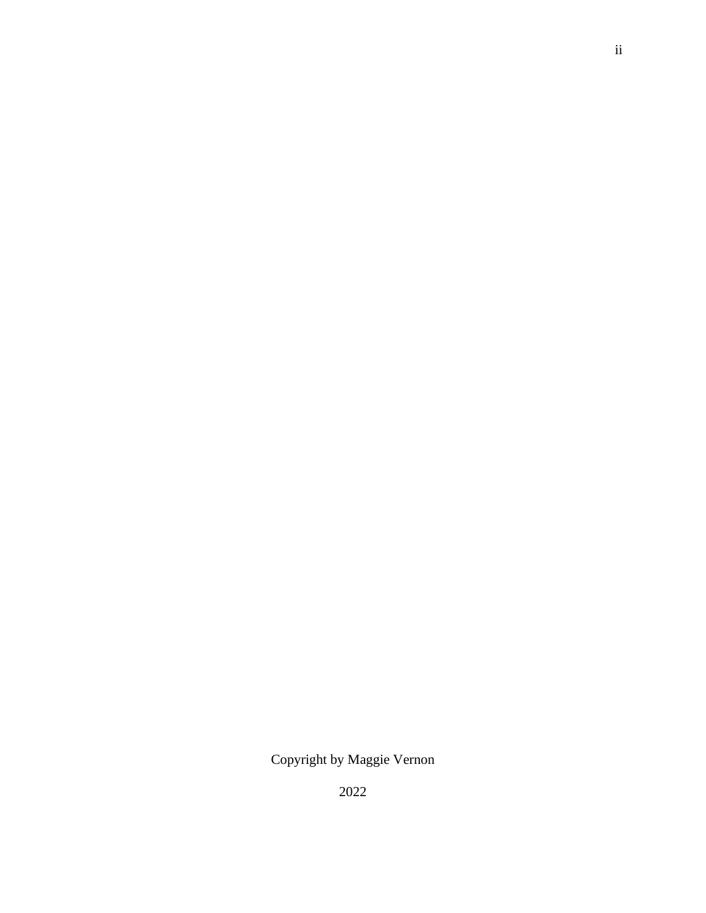Copyright by Maggie Vernon

2022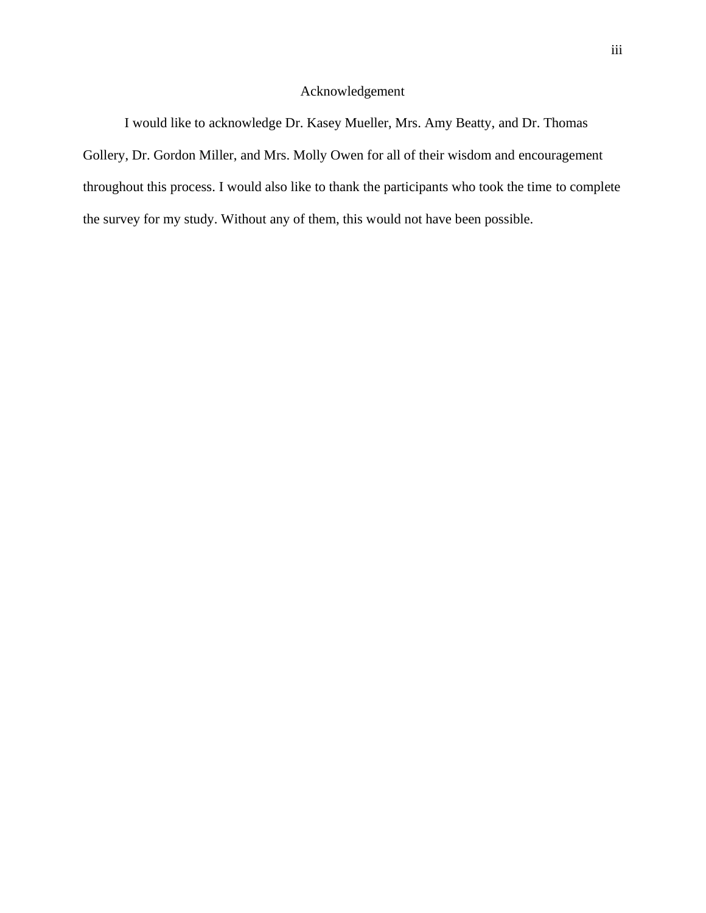# Acknowledgement

I would like to acknowledge Dr. Kasey Mueller, Mrs. Amy Beatty, and Dr. Thomas Gollery, Dr. Gordon Miller, and Mrs. Molly Owen for all of their wisdom and encouragement throughout this process. I would also like to thank the participants who took the time to complete the survey for my study. Without any of them, this would not have been possible.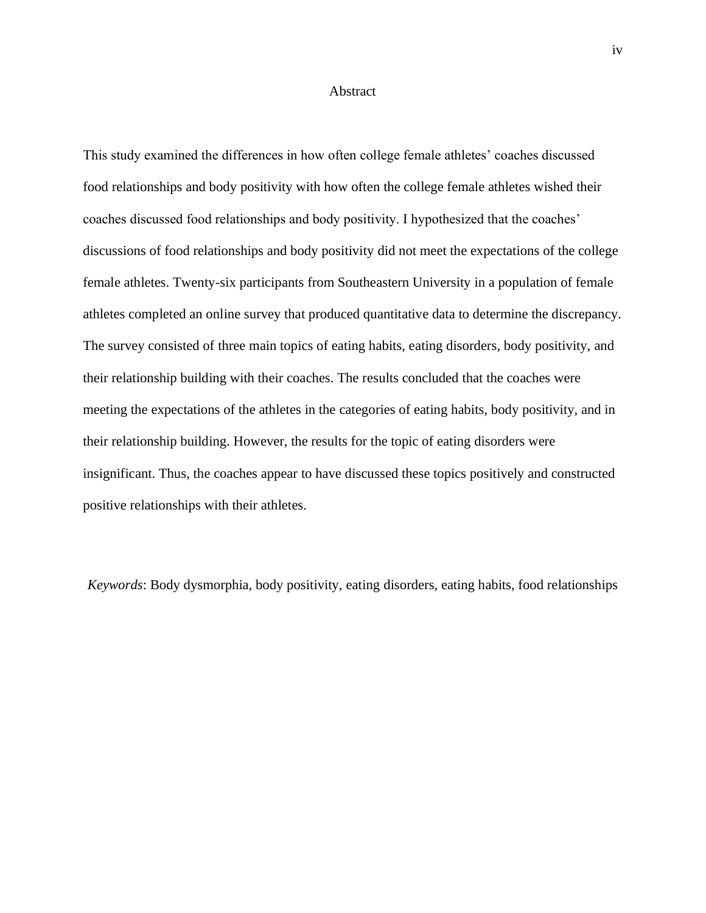#### Abstract

This study examined the differences in how often college female athletes' coaches discussed food relationships and body positivity with how often the college female athletes wished their coaches discussed food relationships and body positivity. I hypothesized that the coaches' discussions of food relationships and body positivity did not meet the expectations of the college female athletes. Twenty-six participants from Southeastern University in a population of female athletes completed an online survey that produced quantitative data to determine the discrepancy. The survey consisted of three main topics of eating habits, eating disorders, body positivity, and their relationship building with their coaches. The results concluded that the coaches were meeting the expectations of the athletes in the categories of eating habits, body positivity, and in their relationship building. However, the results for the topic of eating disorders were insignificant. Thus, the coaches appear to have discussed these topics positively and constructed positive relationships with their athletes.

*Keywords*: Body dysmorphia, body positivity, eating disorders, eating habits, food relationships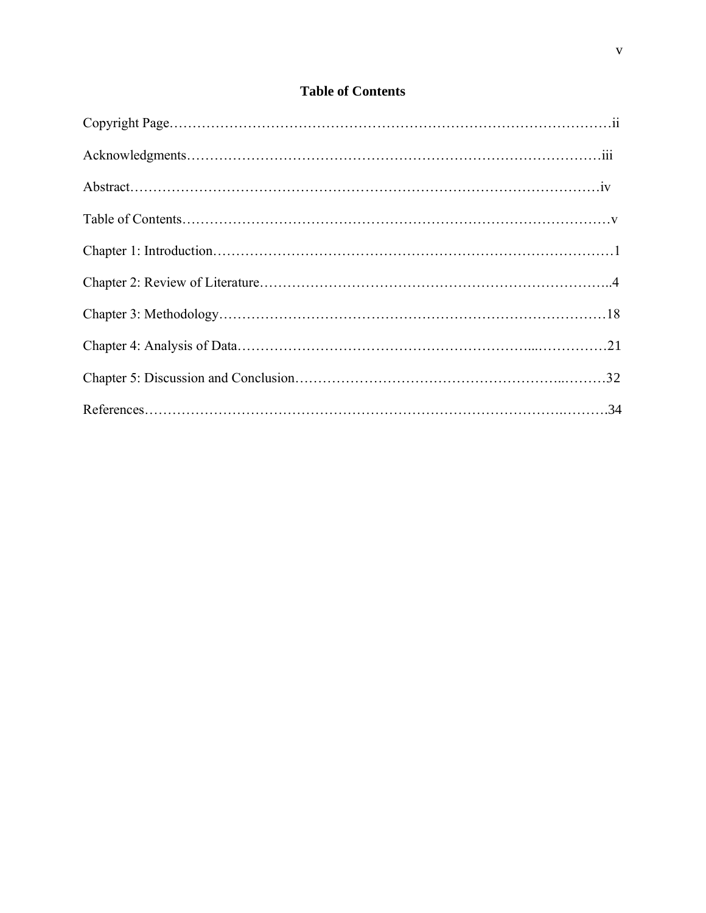# **Table of Contents**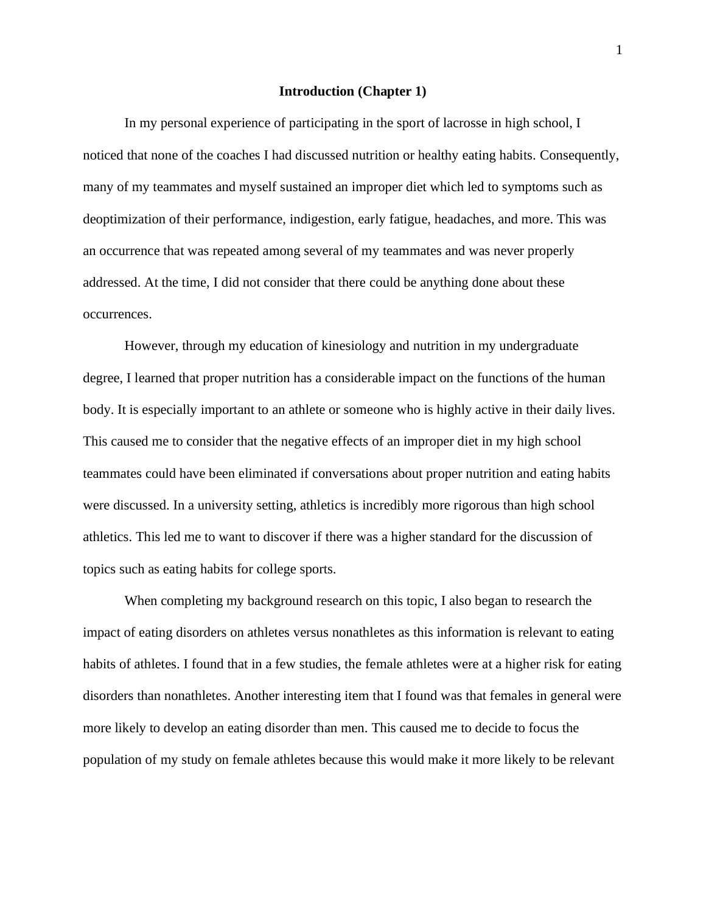#### **Introduction (Chapter 1)**

In my personal experience of participating in the sport of lacrosse in high school, I noticed that none of the coaches I had discussed nutrition or healthy eating habits. Consequently, many of my teammates and myself sustained an improper diet which led to symptoms such as deoptimization of their performance, indigestion, early fatigue, headaches, and more. This was an occurrence that was repeated among several of my teammates and was never properly addressed. At the time, I did not consider that there could be anything done about these occurrences.

However, through my education of kinesiology and nutrition in my undergraduate degree, I learned that proper nutrition has a considerable impact on the functions of the human body. It is especially important to an athlete or someone who is highly active in their daily lives. This caused me to consider that the negative effects of an improper diet in my high school teammates could have been eliminated if conversations about proper nutrition and eating habits were discussed. In a university setting, athletics is incredibly more rigorous than high school athletics. This led me to want to discover if there was a higher standard for the discussion of topics such as eating habits for college sports.

When completing my background research on this topic, I also began to research the impact of eating disorders on athletes versus nonathletes as this information is relevant to eating habits of athletes. I found that in a few studies, the female athletes were at a higher risk for eating disorders than nonathletes. Another interesting item that I found was that females in general were more likely to develop an eating disorder than men. This caused me to decide to focus the population of my study on female athletes because this would make it more likely to be relevant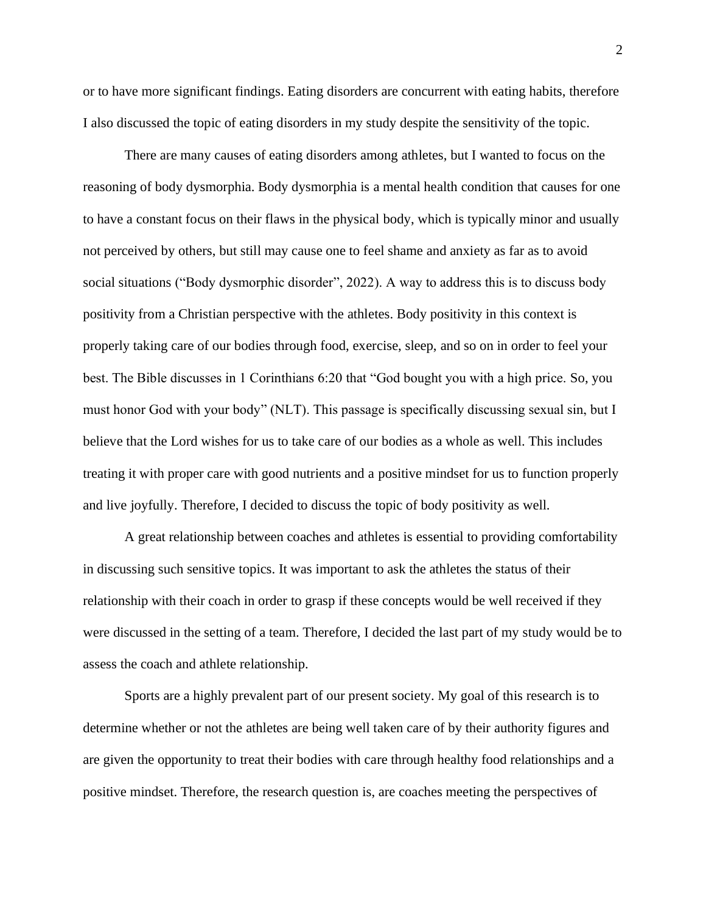or to have more significant findings. Eating disorders are concurrent with eating habits, therefore I also discussed the topic of eating disorders in my study despite the sensitivity of the topic.

There are many causes of eating disorders among athletes, but I wanted to focus on the reasoning of body dysmorphia. Body dysmorphia is a mental health condition that causes for one to have a constant focus on their flaws in the physical body, which is typically minor and usually not perceived by others, but still may cause one to feel shame and anxiety as far as to avoid social situations ("Body dysmorphic disorder", 2022). A way to address this is to discuss body positivity from a Christian perspective with the athletes. Body positivity in this context is properly taking care of our bodies through food, exercise, sleep, and so on in order to feel your best. The Bible discusses in 1 Corinthians 6:20 that "God bought you with a high price. So, you must honor God with your body" (NLT). This passage is specifically discussing sexual sin, but I believe that the Lord wishes for us to take care of our bodies as a whole as well. This includes treating it with proper care with good nutrients and a positive mindset for us to function properly and live joyfully. Therefore, I decided to discuss the topic of body positivity as well.

A great relationship between coaches and athletes is essential to providing comfortability in discussing such sensitive topics. It was important to ask the athletes the status of their relationship with their coach in order to grasp if these concepts would be well received if they were discussed in the setting of a team. Therefore, I decided the last part of my study would be to assess the coach and athlete relationship.

Sports are a highly prevalent part of our present society. My goal of this research is to determine whether or not the athletes are being well taken care of by their authority figures and are given the opportunity to treat their bodies with care through healthy food relationships and a positive mindset. Therefore, the research question is, are coaches meeting the perspectives of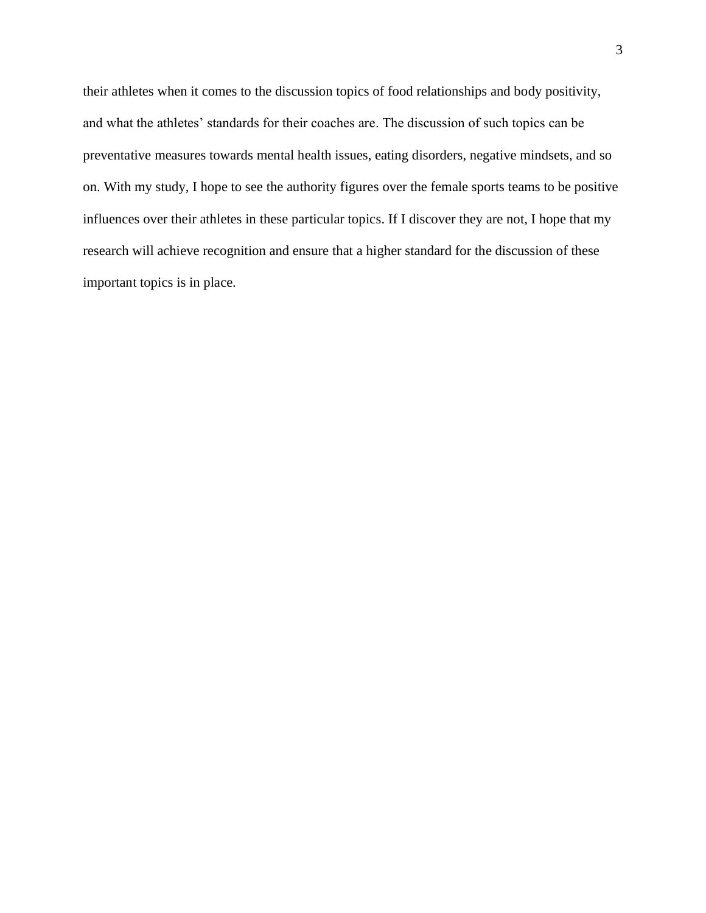their athletes when it comes to the discussion topics of food relationships and body positivity, and what the athletes' standards for their coaches are. The discussion of such topics can be preventative measures towards mental health issues, eating disorders, negative mindsets, and so on. With my study, I hope to see the authority figures over the female sports teams to be positive influences over their athletes in these particular topics. If I discover they are not, I hope that my research will achieve recognition and ensure that a higher standard for the discussion of these important topics is in place.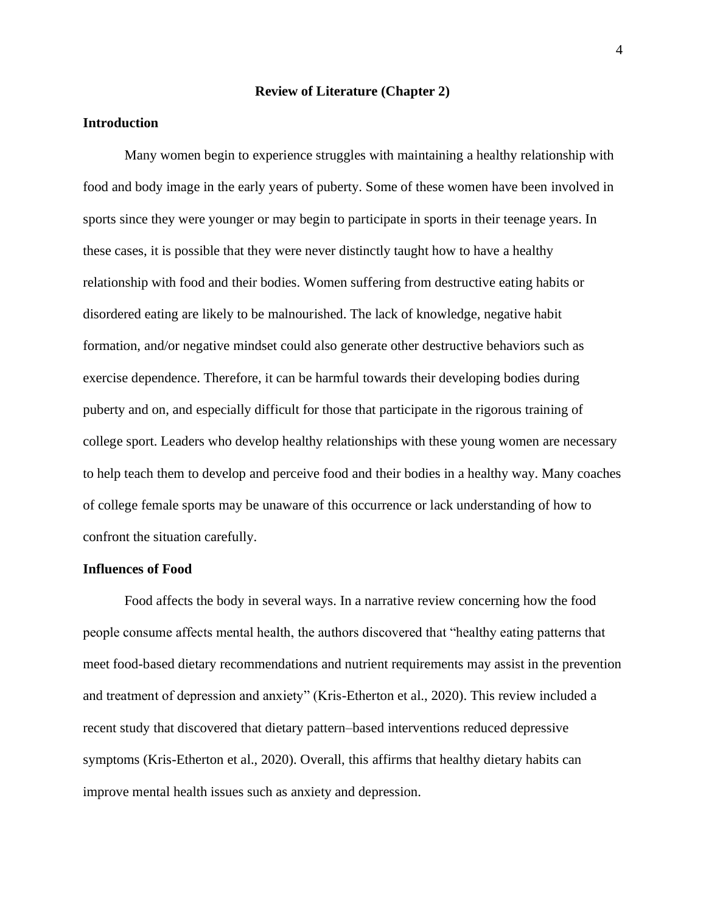#### **Review of Literature (Chapter 2)**

## **Introduction**

Many women begin to experience struggles with maintaining a healthy relationship with food and body image in the early years of puberty. Some of these women have been involved in sports since they were younger or may begin to participate in sports in their teenage years. In these cases, it is possible that they were never distinctly taught how to have a healthy relationship with food and their bodies. Women suffering from destructive eating habits or disordered eating are likely to be malnourished. The lack of knowledge, negative habit formation, and/or negative mindset could also generate other destructive behaviors such as exercise dependence. Therefore, it can be harmful towards their developing bodies during puberty and on, and especially difficult for those that participate in the rigorous training of college sport. Leaders who develop healthy relationships with these young women are necessary to help teach them to develop and perceive food and their bodies in a healthy way. Many coaches of college female sports may be unaware of this occurrence or lack understanding of how to confront the situation carefully.

#### **Influences of Food**

Food affects the body in several ways. In a narrative review concerning how the food people consume affects mental health, the authors discovered that "healthy eating patterns that meet food-based dietary recommendations and nutrient requirements may assist in the prevention and treatment of depression and anxiety" (Kris-Etherton et al., 2020). This review included a recent study that discovered that dietary pattern–based interventions reduced depressive symptoms (Kris-Etherton et al., 2020). Overall, this affirms that healthy dietary habits can improve mental health issues such as anxiety and depression.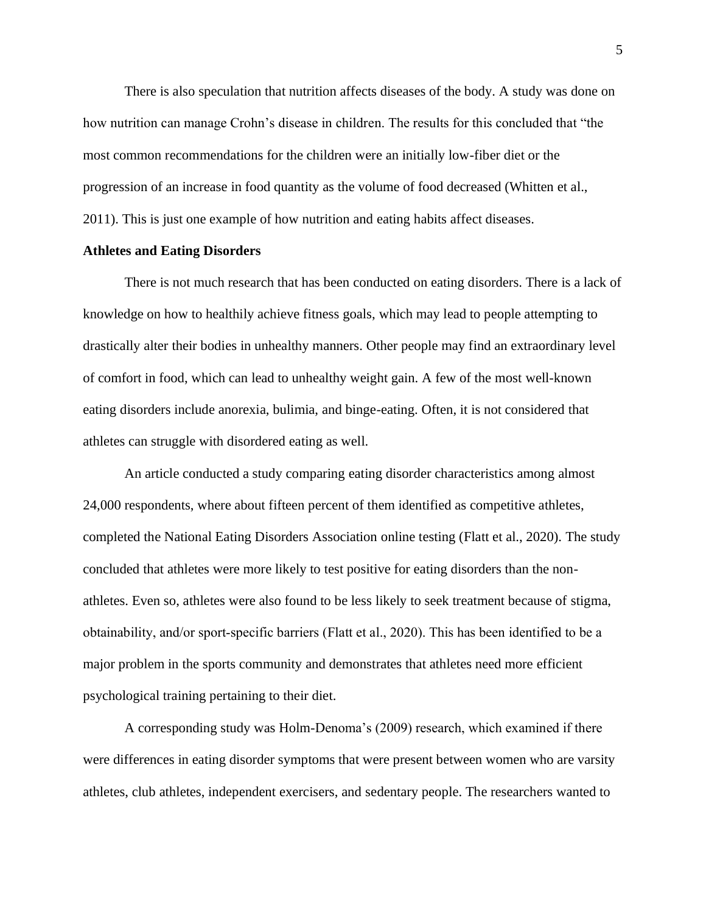There is also speculation that nutrition affects diseases of the body. A study was done on how nutrition can manage Crohn's disease in children. The results for this concluded that "the most common recommendations for the children were an initially low-fiber diet or the progression of an increase in food quantity as the volume of food decreased (Whitten et al., 2011). This is just one example of how nutrition and eating habits affect diseases.

## **Athletes and Eating Disorders**

There is not much research that has been conducted on eating disorders. There is a lack of knowledge on how to healthily achieve fitness goals, which may lead to people attempting to drastically alter their bodies in unhealthy manners. Other people may find an extraordinary level of comfort in food, which can lead to unhealthy weight gain. A few of the most well-known eating disorders include anorexia, bulimia, and binge-eating. Often, it is not considered that athletes can struggle with disordered eating as well.

An article conducted a study comparing eating disorder characteristics among almost 24,000 respondents, where about fifteen percent of them identified as competitive athletes, completed the National Eating Disorders Association online testing (Flatt et al., 2020). The study concluded that athletes were more likely to test positive for eating disorders than the nonathletes. Even so, athletes were also found to be less likely to seek treatment because of stigma, obtainability, and/or sport‐specific barriers (Flatt et al., 2020). This has been identified to be a major problem in the sports community and demonstrates that athletes need more efficient psychological training pertaining to their diet.

A corresponding study was Holm-Denoma's (2009) research, which examined if there were differences in eating disorder symptoms that were present between women who are varsity athletes, club athletes, independent exercisers, and sedentary people. The researchers wanted to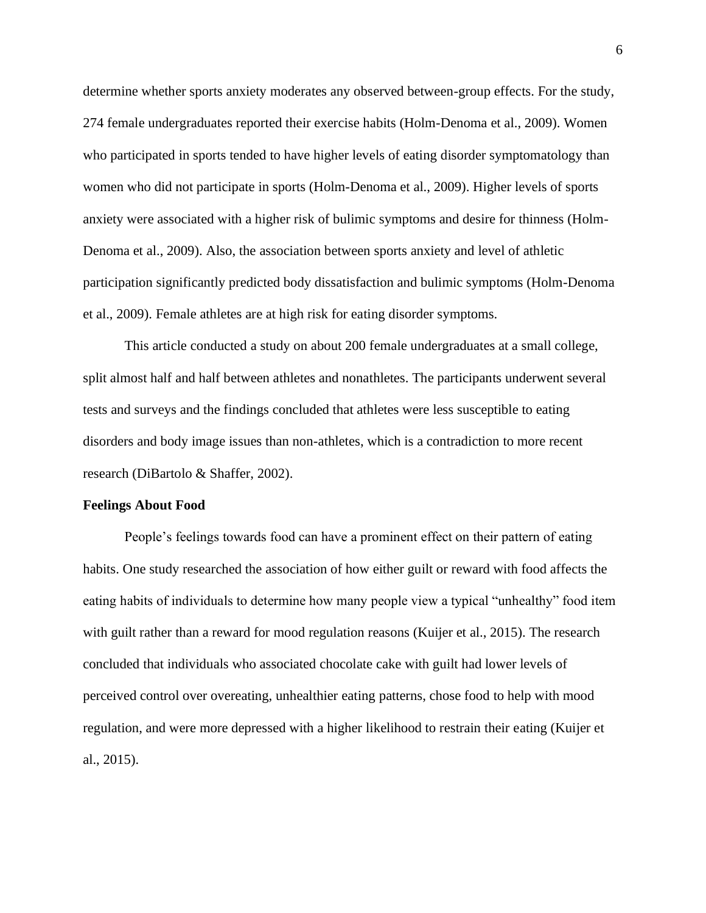determine whether sports anxiety moderates any observed between-group effects. For the study, 274 female undergraduates reported their exercise habits (Holm-Denoma et al., 2009). Women who participated in sports tended to have higher levels of eating disorder symptomatology than women who did not participate in sports (Holm-Denoma et al., 2009). Higher levels of sports anxiety were associated with a higher risk of bulimic symptoms and desire for thinness (Holm-Denoma et al., 2009). Also, the association between sports anxiety and level of athletic participation significantly predicted body dissatisfaction and bulimic symptoms (Holm-Denoma et al., 2009). Female athletes are at high risk for eating disorder symptoms.

This article conducted a study on about 200 female undergraduates at a small college, split almost half and half between athletes and nonathletes. The participants underwent several tests and surveys and the findings concluded that athletes were less susceptible to eating disorders and body image issues than non-athletes, which is a contradiction to more recent research (DiBartolo & Shaffer, 2002).

#### **Feelings About Food**

People's feelings towards food can have a prominent effect on their pattern of eating habits. One study researched the association of how either guilt or reward with food affects the eating habits of individuals to determine how many people view a typical "unhealthy" food item with guilt rather than a reward for mood regulation reasons (Kuijer et al., 2015). The research concluded that individuals who associated chocolate cake with guilt had lower levels of perceived control over overeating, unhealthier eating patterns, chose food to help with mood regulation, and were more depressed with a higher likelihood to restrain their eating (Kuijer et al., 2015).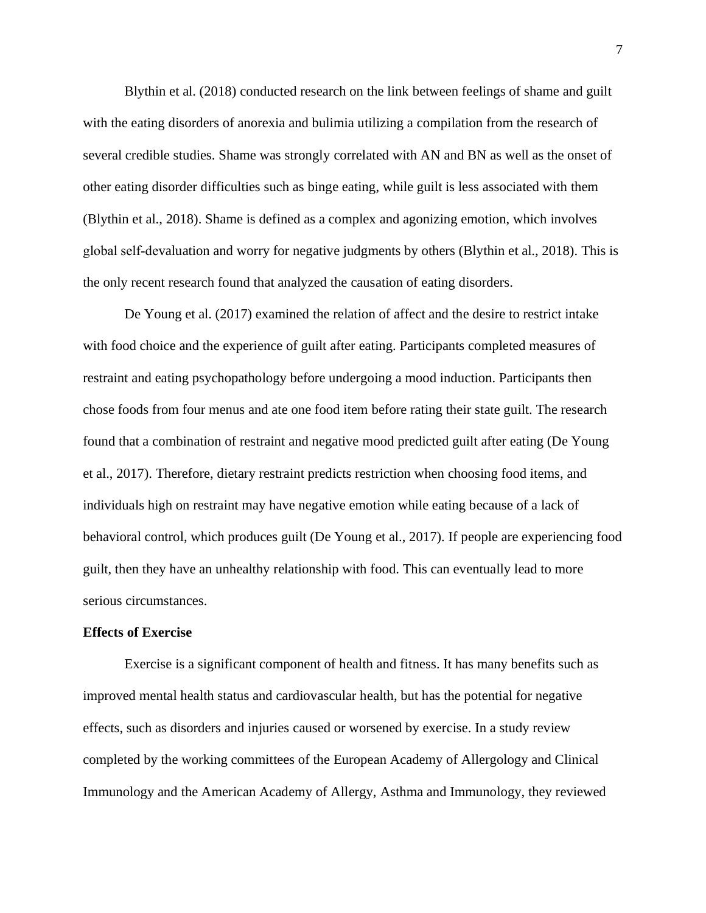Blythin et al. (2018) conducted research on the link between feelings of shame and guilt with the eating disorders of anorexia and bulimia utilizing a compilation from the research of several credible studies. Shame was strongly correlated with AN and BN as well as the onset of other eating disorder difficulties such as binge eating, while guilt is less associated with them (Blythin et al., 2018). Shame is defined as a complex and agonizing emotion, which involves global self‐devaluation and worry for negative judgments by others (Blythin et al., 2018). This is the only recent research found that analyzed the causation of eating disorders.

De Young et al. (2017) examined the relation of affect and the desire to restrict intake with food choice and the experience of guilt after eating. Participants completed measures of restraint and eating psychopathology before undergoing a mood induction. Participants then chose foods from four menus and ate one food item before rating their state guilt. The research found that a combination of restraint and negative mood predicted guilt after eating (De Young et al., 2017). Therefore, dietary restraint predicts restriction when choosing food items, and individuals high on restraint may have negative emotion while eating because of a lack of behavioral control, which produces guilt (De Young et al., 2017). If people are experiencing food guilt, then they have an unhealthy relationship with food. This can eventually lead to more serious circumstances.

#### **Effects of Exercise**

Exercise is a significant component of health and fitness. It has many benefits such as improved mental health status and cardiovascular health, but has the potential for negative effects, such as disorders and injuries caused or worsened by exercise. In a study review completed by the working committees of the European Academy of Allergology and Clinical Immunology and the American Academy of Allergy, Asthma and Immunology, they reviewed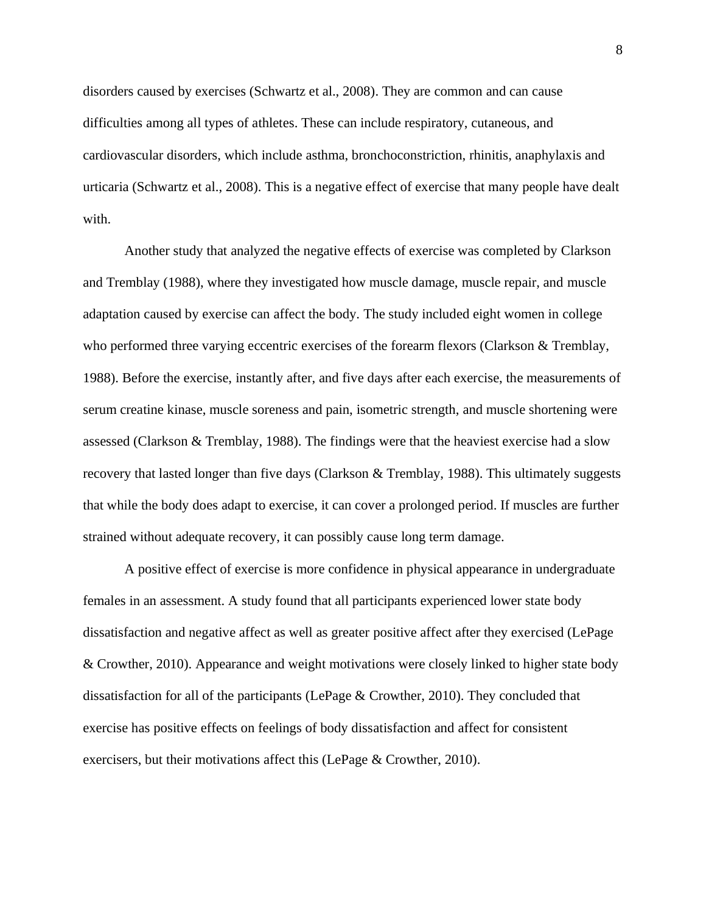disorders caused by exercises (Schwartz et al., 2008). They are common and can cause difficulties among all types of athletes. These can include respiratory, cutaneous, and cardiovascular disorders, which include asthma, bronchoconstriction, rhinitis, anaphylaxis and urticaria (Schwartz et al., 2008). This is a negative effect of exercise that many people have dealt with.

Another study that analyzed the negative effects of exercise was completed by Clarkson and Tremblay (1988), where they investigated how muscle damage, muscle repair, and muscle adaptation caused by exercise can affect the body. The study included eight women in college who performed three varying eccentric exercises of the forearm flexors (Clarkson & Tremblay, 1988). Before the exercise, instantly after, and five days after each exercise, the measurements of serum creatine kinase, muscle soreness and pain, isometric strength, and muscle shortening were assessed (Clarkson & Tremblay, 1988). The findings were that the heaviest exercise had a slow recovery that lasted longer than five days (Clarkson & Tremblay, 1988). This ultimately suggests that while the body does adapt to exercise, it can cover a prolonged period. If muscles are further strained without adequate recovery, it can possibly cause long term damage.

A positive effect of exercise is more confidence in physical appearance in undergraduate females in an assessment. A study found that all participants experienced lower state body dissatisfaction and negative affect as well as greater positive affect after they exercised (LePage & Crowther, 2010). Appearance and weight motivations were closely linked to higher state body dissatisfaction for all of the participants (LePage & Crowther, 2010). They concluded that exercise has positive effects on feelings of body dissatisfaction and affect for consistent exercisers, but their motivations affect this (LePage & Crowther, 2010).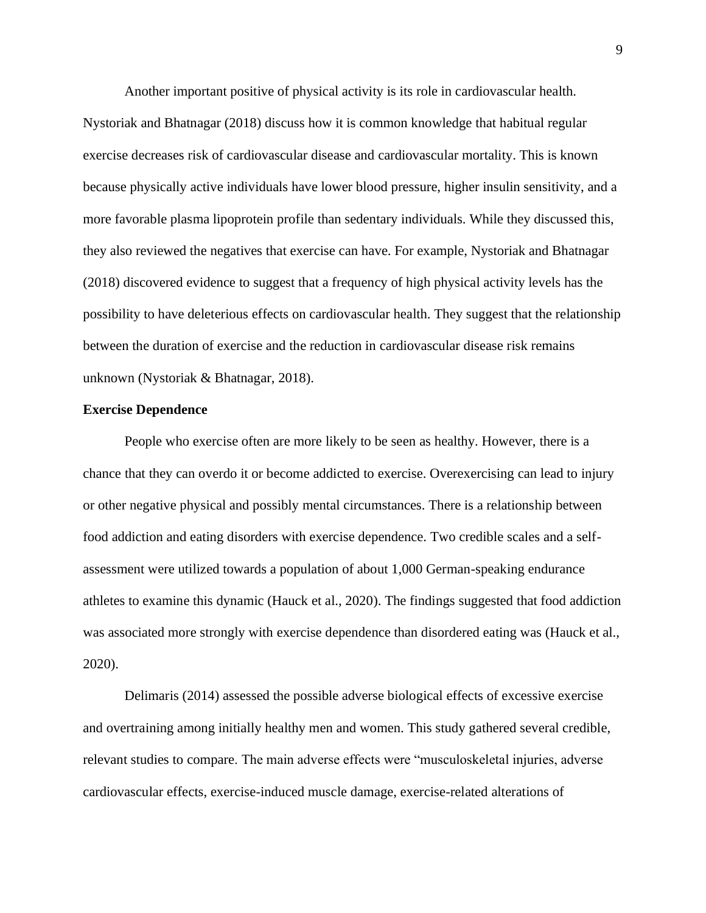Another important positive of physical activity is its role in cardiovascular health.

Nystoriak and Bhatnagar (2018) discuss how it is common knowledge that habitual regular exercise decreases risk of cardiovascular disease and cardiovascular mortality. This is known because physically active individuals have lower blood pressure, higher insulin sensitivity, and a more favorable plasma lipoprotein profile than sedentary individuals. While they discussed this, they also reviewed the negatives that exercise can have. For example, Nystoriak and Bhatnagar (2018) discovered evidence to suggest that a frequency of high physical activity levels has the possibility to have deleterious effects on cardiovascular health. They suggest that the relationship between the duration of exercise and the reduction in cardiovascular disease risk remains unknown (Nystoriak & Bhatnagar, 2018).

#### **Exercise Dependence**

People who exercise often are more likely to be seen as healthy. However, there is a chance that they can overdo it or become addicted to exercise. Overexercising can lead to injury or other negative physical and possibly mental circumstances. There is a relationship between food addiction and eating disorders with exercise dependence. Two credible scales and a selfassessment were utilized towards a population of about 1,000 German-speaking endurance athletes to examine this dynamic (Hauck et al., 2020). The findings suggested that food addiction was associated more strongly with exercise dependence than disordered eating was (Hauck et al., 2020).

Delimaris (2014) assessed the possible adverse biological effects of excessive exercise and overtraining among initially healthy men and women. This study gathered several credible, relevant studies to compare. The main adverse effects were "musculoskeletal injuries, adverse cardiovascular effects, exercise-induced muscle damage, exercise-related alterations of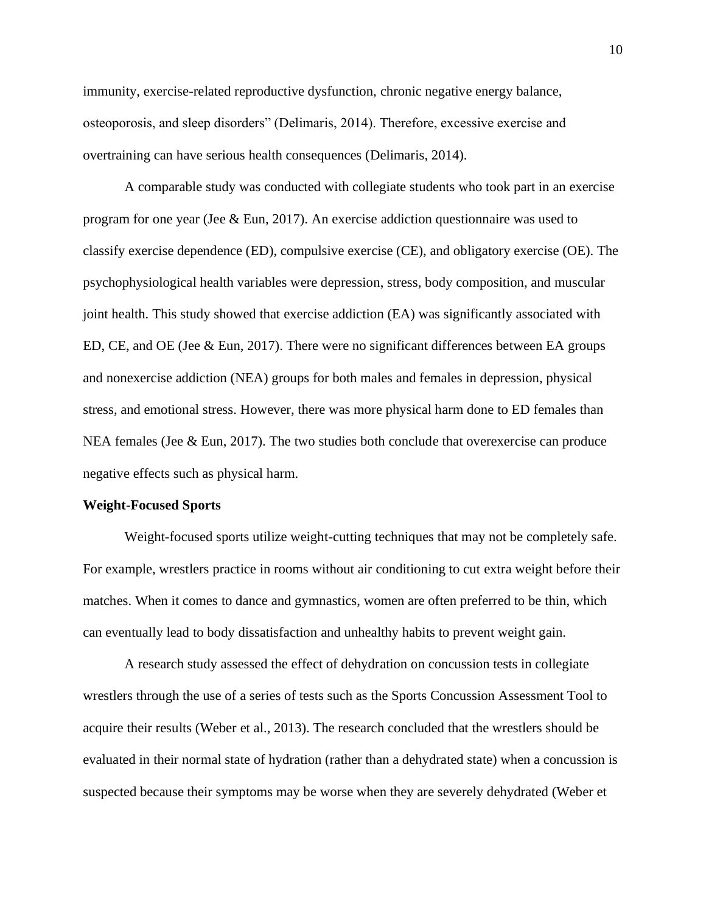immunity, exercise-related reproductive dysfunction, chronic negative energy balance, osteoporosis, and sleep disorders" (Delimaris, 2014). Therefore, excessive exercise and overtraining can have serious health consequences (Delimaris, 2014).

A comparable study was conducted with collegiate students who took part in an exercise program for one year (Jee & Eun, 2017). An exercise addiction questionnaire was used to classify exercise dependence (ED), compulsive exercise (CE), and obligatory exercise (OE). The psychophysiological health variables were depression, stress, body composition, and muscular joint health. This study showed that exercise addiction (EA) was significantly associated with ED, CE, and OE (Jee & Eun, 2017). There were no significant differences between EA groups and nonexercise addiction (NEA) groups for both males and females in depression, physical stress, and emotional stress. However, there was more physical harm done to ED females than NEA females (Jee & Eun, 2017). The two studies both conclude that overexercise can produce negative effects such as physical harm.

#### **Weight-Focused Sports**

Weight-focused sports utilize weight-cutting techniques that may not be completely safe. For example, wrestlers practice in rooms without air conditioning to cut extra weight before their matches. When it comes to dance and gymnastics, women are often preferred to be thin, which can eventually lead to body dissatisfaction and unhealthy habits to prevent weight gain.

A research study assessed the effect of dehydration on concussion tests in collegiate wrestlers through the use of a series of tests such as the Sports Concussion Assessment Tool to acquire their results (Weber et al., 2013). The research concluded that the wrestlers should be evaluated in their normal state of hydration (rather than a dehydrated state) when a concussion is suspected because their symptoms may be worse when they are severely dehydrated (Weber et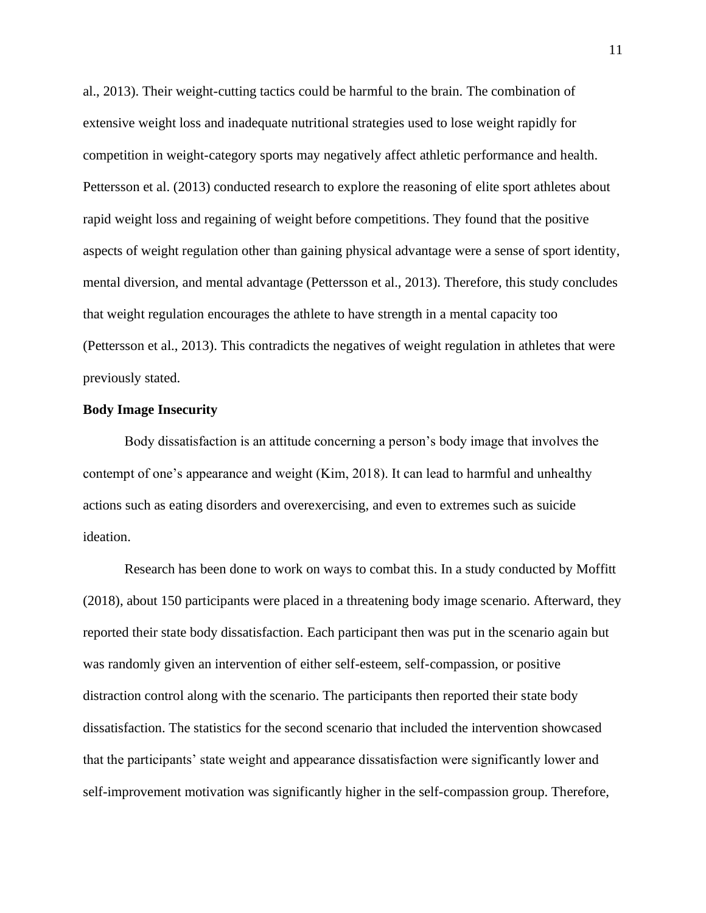al., 2013). Their weight-cutting tactics could be harmful to the brain. The combination of extensive weight loss and inadequate nutritional strategies used to lose weight rapidly for competition in weight-category sports may negatively affect athletic performance and health. Pettersson et al. (2013) conducted research to explore the reasoning of elite sport athletes about rapid weight loss and regaining of weight before competitions. They found that the positive aspects of weight regulation other than gaining physical advantage were a sense of sport identity, mental diversion, and mental advantage (Pettersson et al., 2013). Therefore, this study concludes that weight regulation encourages the athlete to have strength in a mental capacity too (Pettersson et al., 2013). This contradicts the negatives of weight regulation in athletes that were previously stated.

## **Body Image Insecurity**

Body dissatisfaction is an attitude concerning a person's body image that involves the contempt of one's appearance and weight (Kim, 2018). It can lead to harmful and unhealthy actions such as eating disorders and overexercising, and even to extremes such as suicide ideation.

Research has been done to work on ways to combat this. In a study conducted by Moffitt (2018), about 150 participants were placed in a threatening body image scenario. Afterward, they reported their state body dissatisfaction. Each participant then was put in the scenario again but was randomly given an intervention of either self-esteem, self-compassion, or positive distraction control along with the scenario. The participants then reported their state body dissatisfaction. The statistics for the second scenario that included the intervention showcased that the participants' state weight and appearance dissatisfaction were significantly lower and self-improvement motivation was significantly higher in the self-compassion group. Therefore,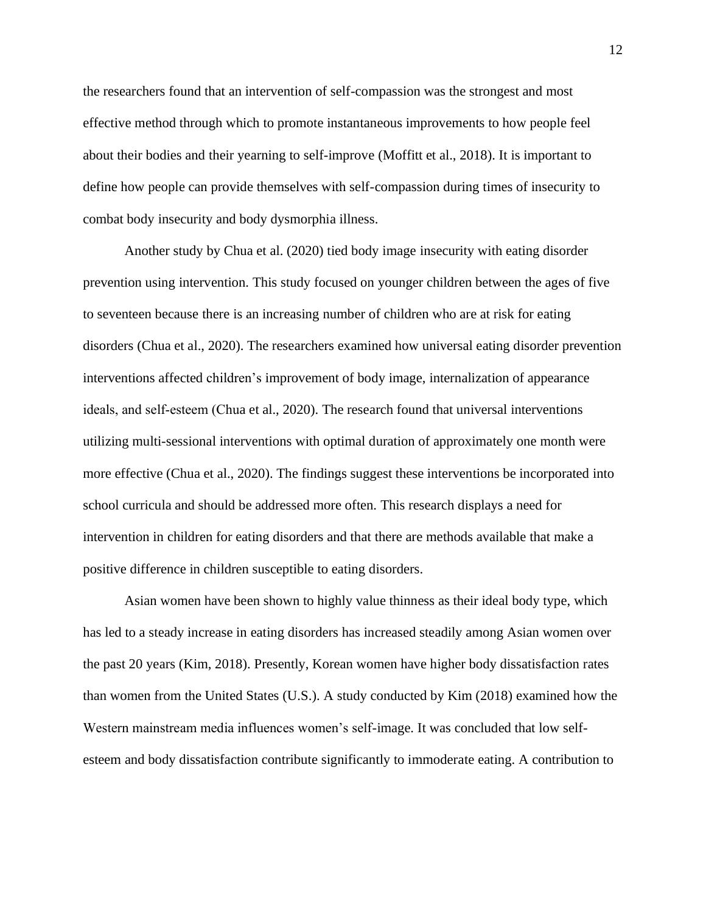the researchers found that an intervention of self-compassion was the strongest and most effective method through which to promote instantaneous improvements to how people feel about their bodies and their yearning to self-improve (Moffitt et al., 2018). It is important to define how people can provide themselves with self-compassion during times of insecurity to combat body insecurity and body dysmorphia illness.

Another study by Chua et al. (2020) tied body image insecurity with eating disorder prevention using intervention. This study focused on younger children between the ages of five to seventeen because there is an increasing number of children who are at risk for eating disorders (Chua et al., 2020). The researchers examined how universal eating disorder prevention interventions affected children's improvement of body image, internalization of appearance ideals, and self-esteem (Chua et al., 2020). The research found that universal interventions utilizing multi-sessional interventions with optimal duration of approximately one month were more effective (Chua et al., 2020). The findings suggest these interventions be incorporated into school curricula and should be addressed more often. This research displays a need for intervention in children for eating disorders and that there are methods available that make a positive difference in children susceptible to eating disorders.

Asian women have been shown to highly value thinness as their ideal body type, which has led to a steady increase in eating disorders has increased steadily among Asian women over the past 20 years (Kim, 2018). Presently, Korean women have higher body dissatisfaction rates than women from the United States (U.S.). A study conducted by Kim (2018) examined how the Western mainstream media influences women's self-image. It was concluded that low selfesteem and body dissatisfaction contribute significantly to immoderate eating. A contribution to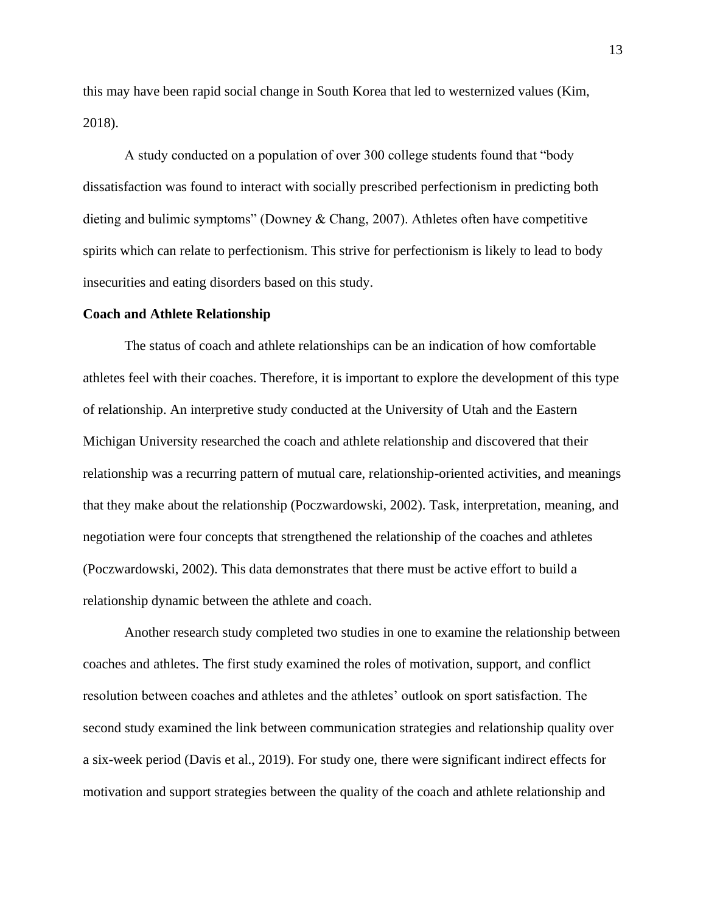this may have been rapid social change in South Korea that led to westernized values (Kim, 2018).

A study conducted on a population of over 300 college students found that "body dissatisfaction was found to interact with socially prescribed perfectionism in predicting both dieting and bulimic symptoms" (Downey & Chang, 2007). Athletes often have competitive spirits which can relate to perfectionism. This strive for perfectionism is likely to lead to body insecurities and eating disorders based on this study.

#### **Coach and Athlete Relationship**

The status of coach and athlete relationships can be an indication of how comfortable athletes feel with their coaches. Therefore, it is important to explore the development of this type of relationship. An interpretive study conducted at the University of Utah and the Eastern Michigan University researched the coach and athlete relationship and discovered that their relationship was a recurring pattern of mutual care, relationship-oriented activities, and meanings that they make about the relationship (Poczwardowski, 2002). Task, interpretation, meaning, and negotiation were four concepts that strengthened the relationship of the coaches and athletes (Poczwardowski, 2002). This data demonstrates that there must be active effort to build a relationship dynamic between the athlete and coach.

Another research study completed two studies in one to examine the relationship between coaches and athletes. The first study examined the roles of motivation, support, and conflict resolution between coaches and athletes and the athletes' outlook on sport satisfaction. The second study examined the link between communication strategies and relationship quality over a six-week period (Davis et al., 2019). For study one, there were significant indirect effects for motivation and support strategies between the quality of the coach and athlete relationship and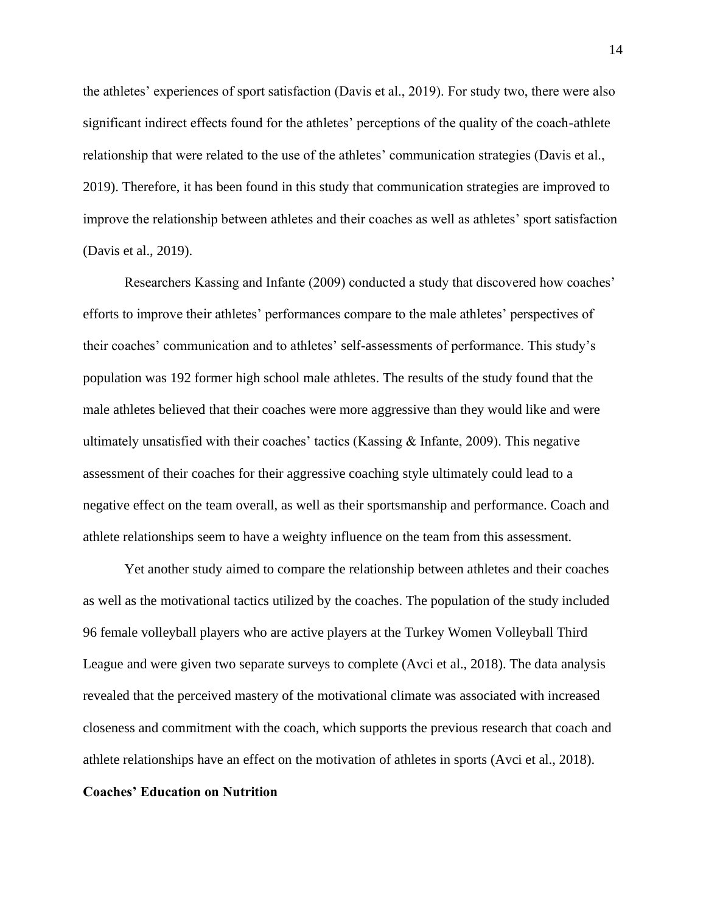the athletes' experiences of sport satisfaction (Davis et al., 2019). For study two, there were also significant indirect effects found for the athletes' perceptions of the quality of the coach-athlete relationship that were related to the use of the athletes' communication strategies (Davis et al., 2019). Therefore, it has been found in this study that communication strategies are improved to improve the relationship between athletes and their coaches as well as athletes' sport satisfaction (Davis et al., 2019).

Researchers Kassing and Infante (2009) conducted a study that discovered how coaches' efforts to improve their athletes' performances compare to the male athletes' perspectives of their coaches' communication and to athletes' self-assessments of performance. This study's population was 192 former high school male athletes. The results of the study found that the male athletes believed that their coaches were more aggressive than they would like and were ultimately unsatisfied with their coaches' tactics (Kassing  $\&$  Infante, 2009). This negative assessment of their coaches for their aggressive coaching style ultimately could lead to a negative effect on the team overall, as well as their sportsmanship and performance. Coach and athlete relationships seem to have a weighty influence on the team from this assessment.

Yet another study aimed to compare the relationship between athletes and their coaches as well as the motivational tactics utilized by the coaches. The population of the study included 96 female volleyball players who are active players at the Turkey Women Volleyball Third League and were given two separate surveys to complete (Avci et al., 2018). The data analysis revealed that the perceived mastery of the motivational climate was associated with increased closeness and commitment with the coach, which supports the previous research that coach and athlete relationships have an effect on the motivation of athletes in sports (Avci et al., 2018).

### **Coaches' Education on Nutrition**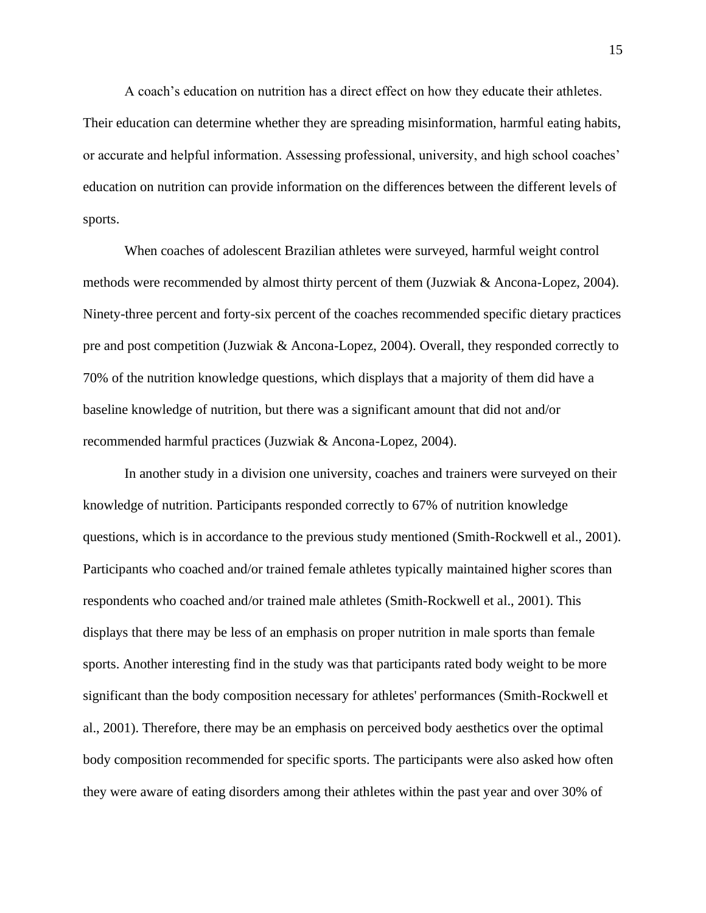A coach's education on nutrition has a direct effect on how they educate their athletes.

Their education can determine whether they are spreading misinformation, harmful eating habits, or accurate and helpful information. Assessing professional, university, and high school coaches' education on nutrition can provide information on the differences between the different levels of sports.

When coaches of adolescent Brazilian athletes were surveyed, harmful weight control methods were recommended by almost thirty percent of them (Juzwiak & Ancona-Lopez, 2004). Ninety-three percent and forty-six percent of the coaches recommended specific dietary practices pre and post competition (Juzwiak & Ancona-Lopez, 2004). Overall, they responded correctly to 70% of the nutrition knowledge questions, which displays that a majority of them did have a baseline knowledge of nutrition, but there was a significant amount that did not and/or recommended harmful practices (Juzwiak & Ancona-Lopez, 2004).

In another study in a division one university, coaches and trainers were surveyed on their knowledge of nutrition. Participants responded correctly to 67% of nutrition knowledge questions, which is in accordance to the previous study mentioned (Smith-Rockwell et al., 2001). Participants who coached and/or trained female athletes typically maintained higher scores than respondents who coached and/or trained male athletes (Smith-Rockwell et al., 2001). This displays that there may be less of an emphasis on proper nutrition in male sports than female sports. Another interesting find in the study was that participants rated body weight to be more significant than the body composition necessary for athletes' performances (Smith-Rockwell et al., 2001). Therefore, there may be an emphasis on perceived body aesthetics over the optimal body composition recommended for specific sports. The participants were also asked how often they were aware of eating disorders among their athletes within the past year and over 30% of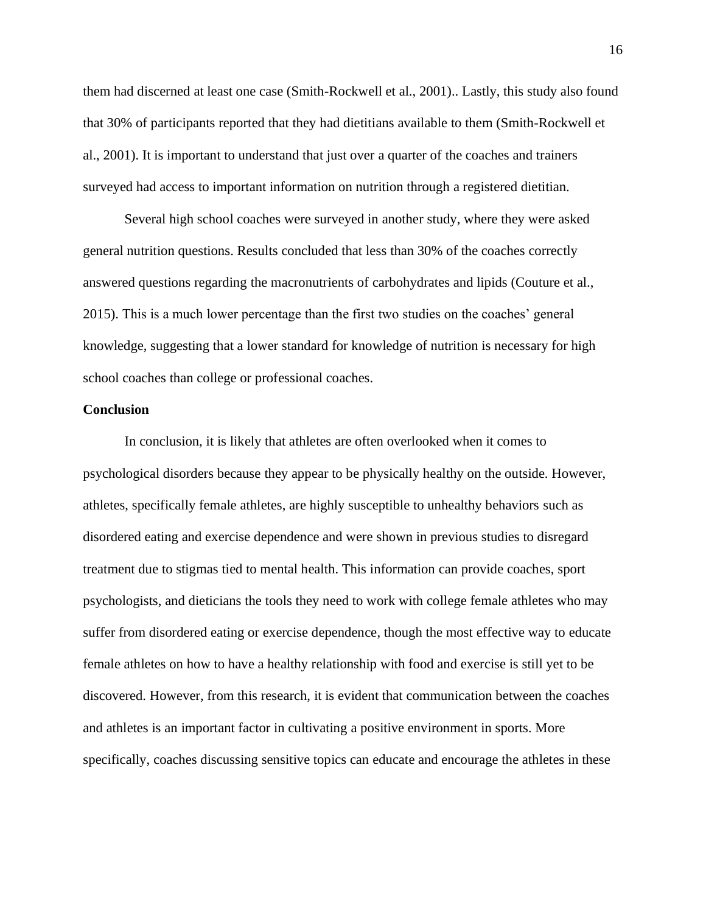them had discerned at least one case (Smith-Rockwell et al., 2001).. Lastly, this study also found that 30% of participants reported that they had dietitians available to them (Smith-Rockwell et al., 2001). It is important to understand that just over a quarter of the coaches and trainers surveyed had access to important information on nutrition through a registered dietitian.

Several high school coaches were surveyed in another study, where they were asked general nutrition questions. Results concluded that less than 30% of the coaches correctly answered questions regarding the macronutrients of carbohydrates and lipids (Couture et al., 2015). This is a much lower percentage than the first two studies on the coaches' general knowledge, suggesting that a lower standard for knowledge of nutrition is necessary for high school coaches than college or professional coaches.

#### **Conclusion**

In conclusion, it is likely that athletes are often overlooked when it comes to psychological disorders because they appear to be physically healthy on the outside. However, athletes, specifically female athletes, are highly susceptible to unhealthy behaviors such as disordered eating and exercise dependence and were shown in previous studies to disregard treatment due to stigmas tied to mental health. This information can provide coaches, sport psychologists, and dieticians the tools they need to work with college female athletes who may suffer from disordered eating or exercise dependence, though the most effective way to educate female athletes on how to have a healthy relationship with food and exercise is still yet to be discovered. However, from this research, it is evident that communication between the coaches and athletes is an important factor in cultivating a positive environment in sports. More specifically, coaches discussing sensitive topics can educate and encourage the athletes in these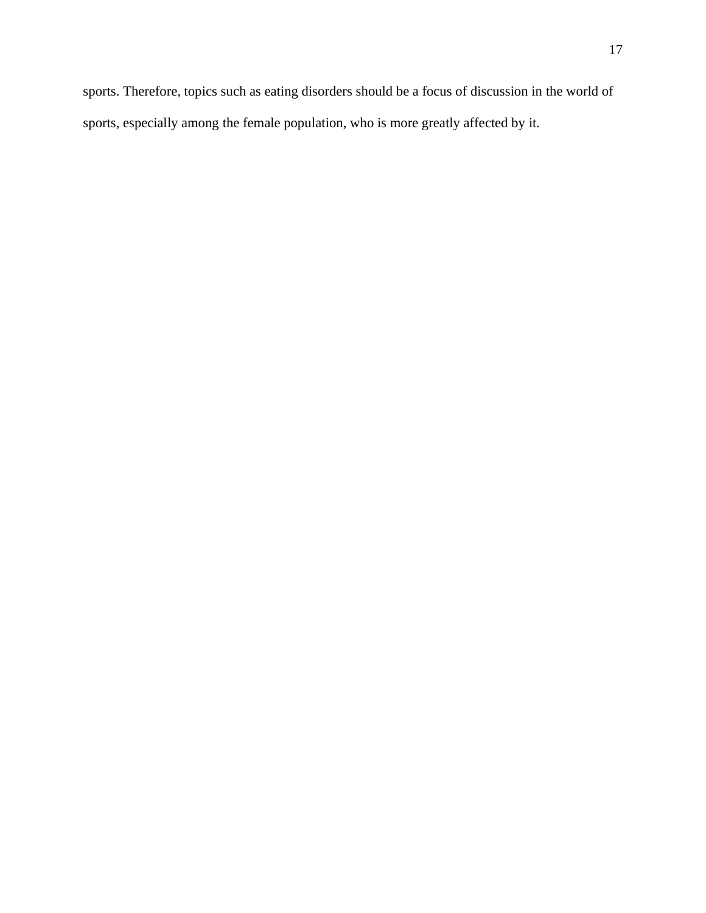sports. Therefore, topics such as eating disorders should be a focus of discussion in the world of sports, especially among the female population, who is more greatly affected by it.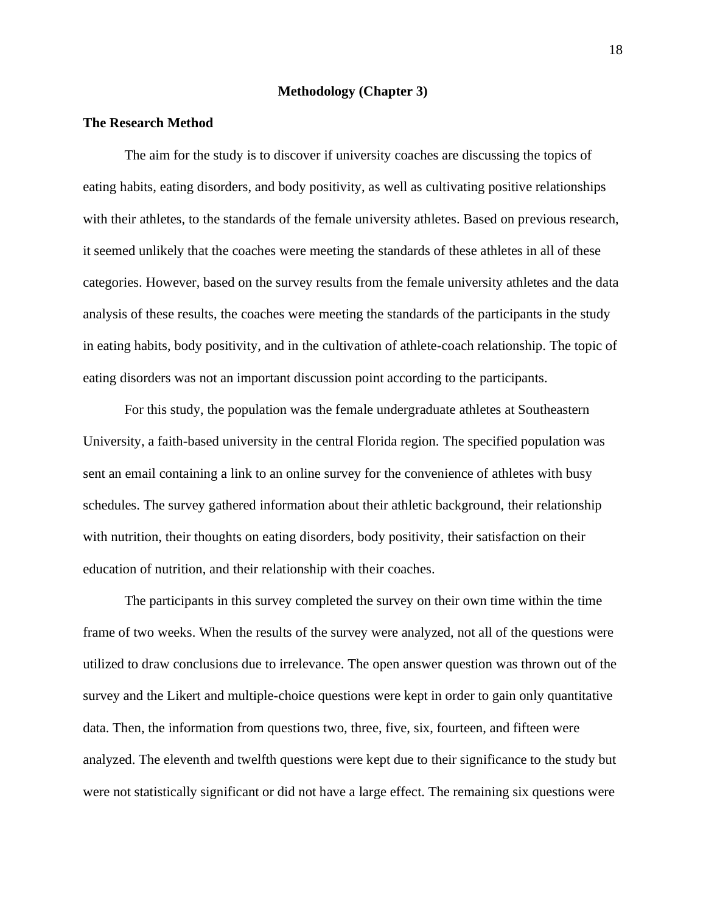## **Methodology (Chapter 3)**

#### **The Research Method**

The aim for the study is to discover if university coaches are discussing the topics of eating habits, eating disorders, and body positivity, as well as cultivating positive relationships with their athletes, to the standards of the female university athletes. Based on previous research, it seemed unlikely that the coaches were meeting the standards of these athletes in all of these categories. However, based on the survey results from the female university athletes and the data analysis of these results, the coaches were meeting the standards of the participants in the study in eating habits, body positivity, and in the cultivation of athlete-coach relationship. The topic of eating disorders was not an important discussion point according to the participants.

For this study, the population was the female undergraduate athletes at Southeastern University, a faith-based university in the central Florida region. The specified population was sent an email containing a link to an online survey for the convenience of athletes with busy schedules. The survey gathered information about their athletic background, their relationship with nutrition, their thoughts on eating disorders, body positivity, their satisfaction on their education of nutrition, and their relationship with their coaches.

The participants in this survey completed the survey on their own time within the time frame of two weeks. When the results of the survey were analyzed, not all of the questions were utilized to draw conclusions due to irrelevance. The open answer question was thrown out of the survey and the Likert and multiple-choice questions were kept in order to gain only quantitative data. Then, the information from questions two, three, five, six, fourteen, and fifteen were analyzed. The eleventh and twelfth questions were kept due to their significance to the study but were not statistically significant or did not have a large effect. The remaining six questions were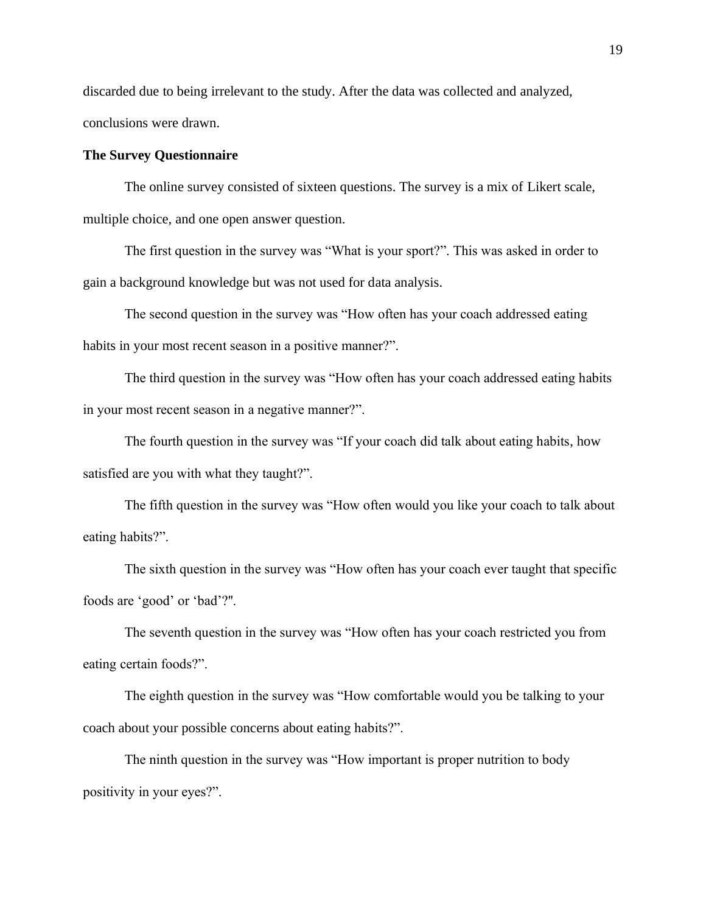discarded due to being irrelevant to the study. After the data was collected and analyzed, conclusions were drawn.

## **The Survey Questionnaire**

The online survey consisted of sixteen questions. The survey is a mix of Likert scale, multiple choice, and one open answer question.

The first question in the survey was "What is your sport?". This was asked in order to gain a background knowledge but was not used for data analysis.

The second question in the survey was "How often has your coach addressed eating habits in your most recent season in a positive manner?".

The third question in the survey was "How often has your coach addressed eating habits in your most recent season in a negative manner?".

The fourth question in the survey was "If your coach did talk about eating habits, how satisfied are you with what they taught?".

The fifth question in the survey was "How often would you like your coach to talk about eating habits?".

The sixth question in the survey was "How often has your coach ever taught that specific foods are 'good' or 'bad'?''.

The seventh question in the survey was "How often has your coach restricted you from eating certain foods?".

The eighth question in the survey was "How comfortable would you be talking to your coach about your possible concerns about eating habits?".

The ninth question in the survey was "How important is proper nutrition to body positivity in your eyes?".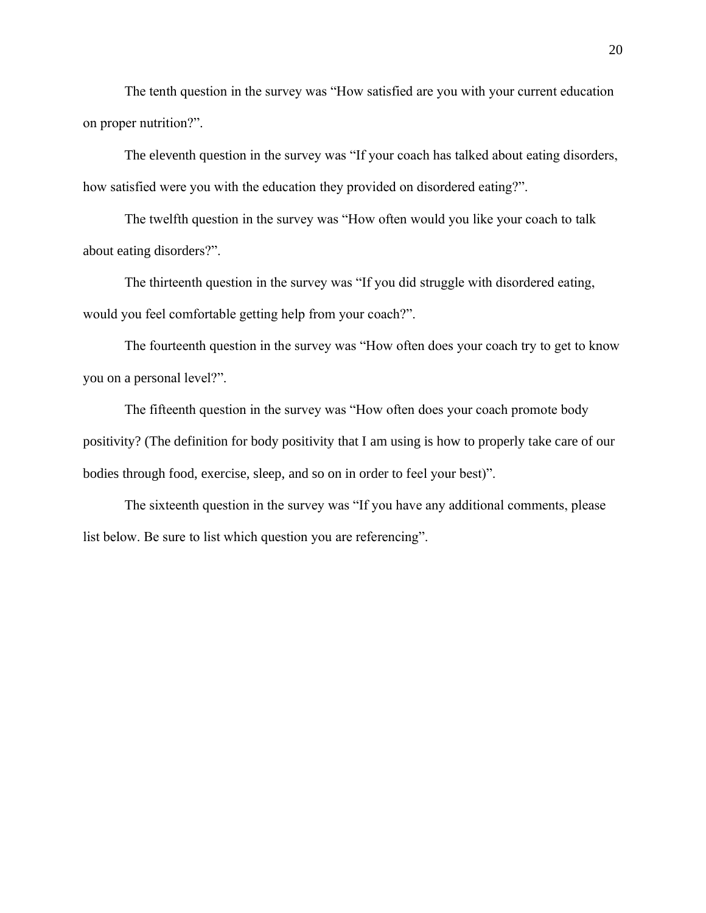The tenth question in the survey was "How satisfied are you with your current education on proper nutrition?".

The eleventh question in the survey was "If your coach has talked about eating disorders, how satisfied were you with the education they provided on disordered eating?".

The twelfth question in the survey was "How often would you like your coach to talk about eating disorders?".

The thirteenth question in the survey was "If you did struggle with disordered eating, would you feel comfortable getting help from your coach?".

The fourteenth question in the survey was "How often does your coach try to get to know you on a personal level?".

The fifteenth question in the survey was "How often does your coach promote body positivity? (The definition for body positivity that I am using is how to properly take care of our bodies through food, exercise, sleep, and so on in order to feel your best)".

The sixteenth question in the survey was "If you have any additional comments, please list below. Be sure to list which question you are referencing".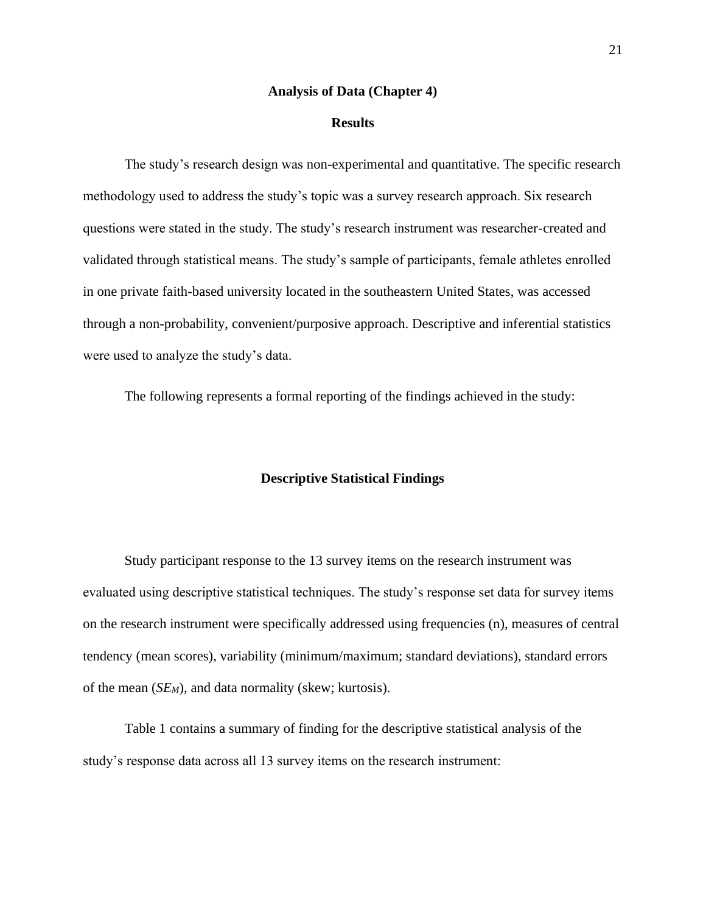#### **Analysis of Data (Chapter 4)**

#### **Results**

The study's research design was non-experimental and quantitative. The specific research methodology used to address the study's topic was a survey research approach. Six research questions were stated in the study. The study's research instrument was researcher-created and validated through statistical means. The study's sample of participants, female athletes enrolled in one private faith-based university located in the southeastern United States, was accessed through a non-probability, convenient/purposive approach. Descriptive and inferential statistics were used to analyze the study's data.

The following represents a formal reporting of the findings achieved in the study:

## **Descriptive Statistical Findings**

Study participant response to the 13 survey items on the research instrument was evaluated using descriptive statistical techniques. The study's response set data for survey items on the research instrument were specifically addressed using frequencies (n), measures of central tendency (mean scores), variability (minimum/maximum; standard deviations), standard errors of the mean (*SEM*), and data normality (skew; kurtosis).

Table 1 contains a summary of finding for the descriptive statistical analysis of the study's response data across all 13 survey items on the research instrument: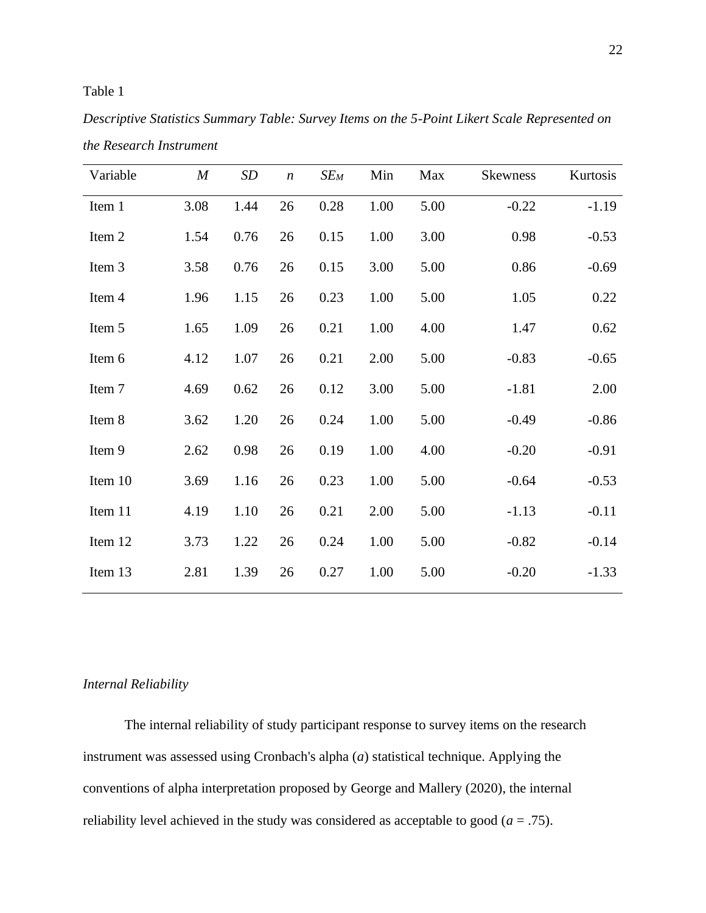## Table 1

*Descriptive Statistics Summary Table: Survey Items on the 5-Point Likert Scale Represented on the Research Instrument*

| Variable | $\boldsymbol{M}$ | <b>SD</b> | $\boldsymbol{n}$ | $SE_M$ | Min  | Max  | <b>Skewness</b> | Kurtosis |
|----------|------------------|-----------|------------------|--------|------|------|-----------------|----------|
| Item 1   | 3.08             | 1.44      | 26               | 0.28   | 1.00 | 5.00 | $-0.22$         | $-1.19$  |
| Item 2   | 1.54             | 0.76      | 26               | 0.15   | 1.00 | 3.00 | 0.98            | $-0.53$  |
| Item 3   | 3.58             | 0.76      | 26               | 0.15   | 3.00 | 5.00 | 0.86            | $-0.69$  |
| Item 4   | 1.96             | 1.15      | 26               | 0.23   | 1.00 | 5.00 | 1.05            | 0.22     |
| Item 5   | 1.65             | 1.09      | 26               | 0.21   | 1.00 | 4.00 | 1.47            | 0.62     |
| Item 6   | 4.12             | 1.07      | 26               | 0.21   | 2.00 | 5.00 | $-0.83$         | $-0.65$  |
| Item 7   | 4.69             | 0.62      | 26               | 0.12   | 3.00 | 5.00 | $-1.81$         | 2.00     |
| Item 8   | 3.62             | 1.20      | 26               | 0.24   | 1.00 | 5.00 | $-0.49$         | $-0.86$  |
| Item 9   | 2.62             | 0.98      | 26               | 0.19   | 1.00 | 4.00 | $-0.20$         | $-0.91$  |
| Item 10  | 3.69             | 1.16      | 26               | 0.23   | 1.00 | 5.00 | $-0.64$         | $-0.53$  |
| Item 11  | 4.19             | 1.10      | 26               | 0.21   | 2.00 | 5.00 | $-1.13$         | $-0.11$  |
| Item 12  | 3.73             | 1.22      | 26               | 0.24   | 1.00 | 5.00 | $-0.82$         | $-0.14$  |
| Item 13  | 2.81             | 1.39      | 26               | 0.27   | 1.00 | 5.00 | $-0.20$         | $-1.33$  |

### *Internal Reliability*

The internal reliability of study participant response to survey items on the research instrument was assessed using Cronbach's alpha (*a*) statistical technique. Applying the conventions of alpha interpretation proposed by George and Mallery (2020), the internal reliability level achieved in the study was considered as acceptable to good  $(a = .75)$ .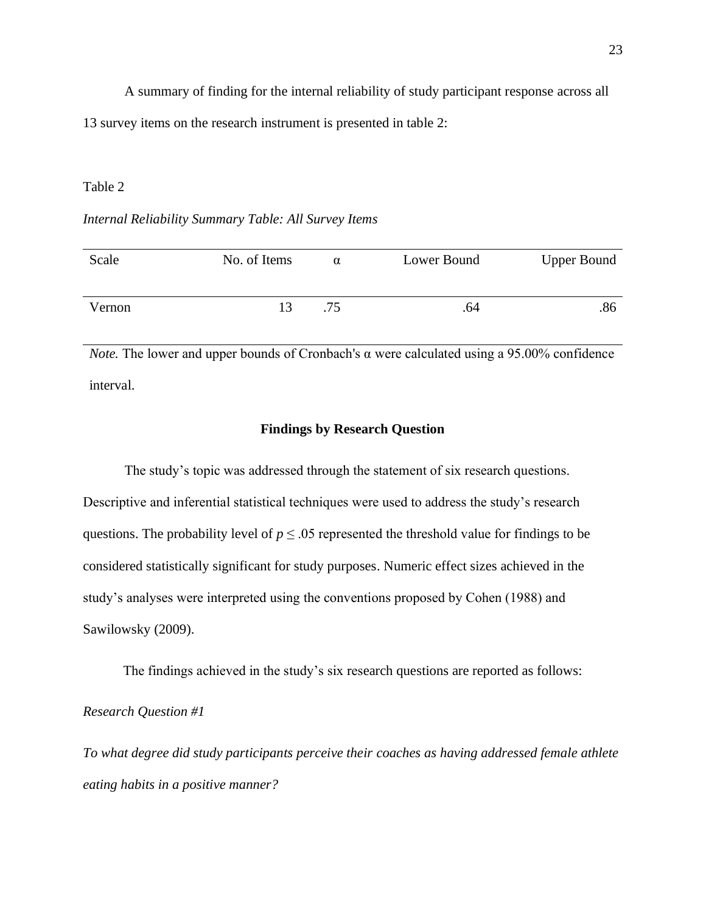A summary of finding for the internal reliability of study participant response across all 13 survey items on the research instrument is presented in table 2:

## Table 2

## *Internal Reliability Summary Table: All Survey Items*

| Scale  | No. of Items | α   | Lower Bound | <b>Upper Bound</b> |
|--------|--------------|-----|-------------|--------------------|
| Vernon |              | .75 | .64         | .86                |

*Note.* The lower and upper bounds of Cronbach's α were calculated using a 95.00% confidence interval.

#### **Findings by Research Question**

The study's topic was addressed through the statement of six research questions. Descriptive and inferential statistical techniques were used to address the study's research questions. The probability level of  $p \leq 0.05$  represented the threshold value for findings to be considered statistically significant for study purposes. Numeric effect sizes achieved in the study's analyses were interpreted using the conventions proposed by Cohen (1988) and Sawilowsky (2009).

The findings achieved in the study's six research questions are reported as follows:

*Research Question #1*

*To what degree did study participants perceive their coaches as having addressed female athlete eating habits in a positive manner?*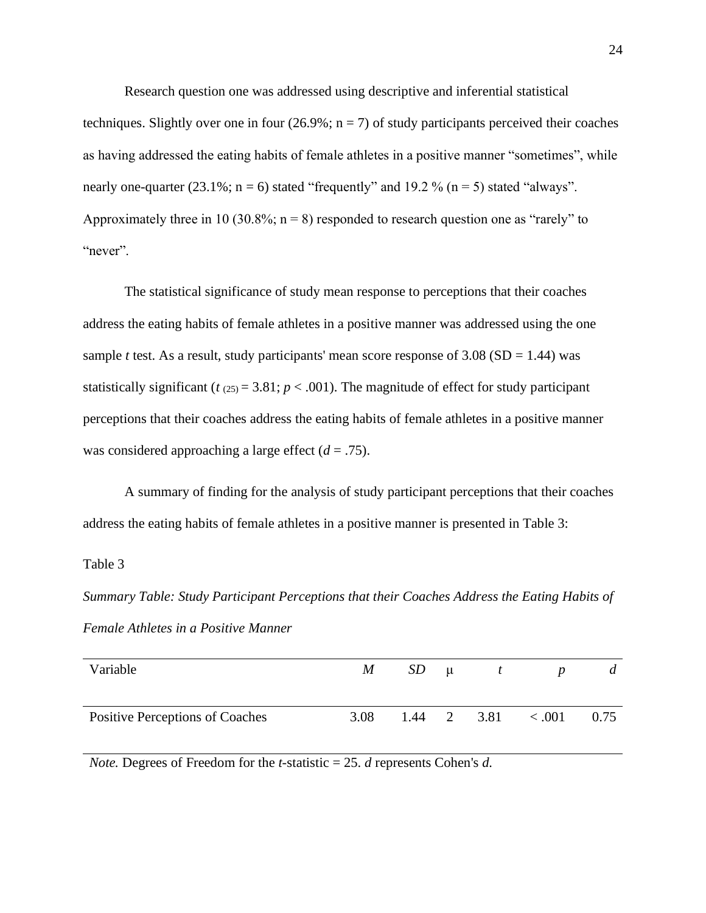Research question one was addressed using descriptive and inferential statistical techniques. Slightly over one in four  $(26.9\%; n = 7)$  of study participants perceived their coaches as having addressed the eating habits of female athletes in a positive manner "sometimes", while nearly one-quarter (23.1%;  $n = 6$ ) stated "frequently" and 19.2 % ( $n = 5$ ) stated "always". Approximately three in 10 (30.8%;  $n = 8$ ) responded to research question one as "rarely" to "never".

The statistical significance of study mean response to perceptions that their coaches address the eating habits of female athletes in a positive manner was addressed using the one sample *t* test. As a result, study participants' mean score response of  $3.08$  (SD = 1.44) was statistically significant ( $t_{(25)} = 3.81$ ;  $p < .001$ ). The magnitude of effect for study participant perceptions that their coaches address the eating habits of female athletes in a positive manner was considered approaching a large effect  $(d = .75)$ .

A summary of finding for the analysis of study participant perceptions that their coaches address the eating habits of female athletes in a positive manner is presented in Table 3:

## Table 3

*Summary Table: Study Participant Perceptions that their Coaches Address the Eating Habits of Female Athletes in a Positive Manner*

| Variable                        | $M_{\odot}$ | $SD \mu$ |                           |        | a    |
|---------------------------------|-------------|----------|---------------------------|--------|------|
| Positive Perceptions of Coaches | 3.08        |          | $1.44 \quad 2 \quad 3.81$ | < .001 | 0.75 |

*Note.* Degrees of Freedom for the *t*-statistic = 25. *d* represents Cohen's *d.*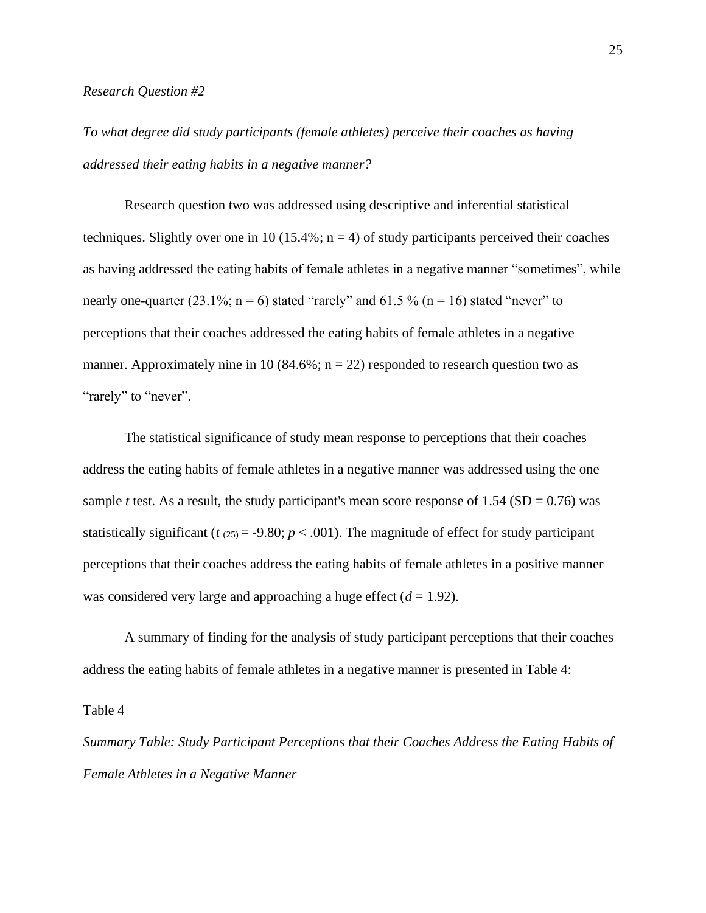#### *Research Question #2*

*To what degree did study participants (female athletes) perceive their coaches as having addressed their eating habits in a negative manner?*

Research question two was addressed using descriptive and inferential statistical techniques. Slightly over one in 10 (15.4%;  $n = 4$ ) of study participants perceived their coaches as having addressed the eating habits of female athletes in a negative manner "sometimes", while nearly one-quarter (23.1%;  $n = 6$ ) stated "rarely" and 61.5 % ( $n = 16$ ) stated "never" to perceptions that their coaches addressed the eating habits of female athletes in a negative manner. Approximately nine in 10 (84.6%;  $n = 22$ ) responded to research question two as "rarely" to "never".

The statistical significance of study mean response to perceptions that their coaches address the eating habits of female athletes in a negative manner was addressed using the one sample *t* test. As a result, the study participant's mean score response of  $1.54$  (SD = 0.76) was statistically significant ( $t_{(25)} = -9.80$ ;  $p < .001$ ). The magnitude of effect for study participant perceptions that their coaches address the eating habits of female athletes in a positive manner was considered very large and approaching a huge effect  $(d = 1.92)$ .

A summary of finding for the analysis of study participant perceptions that their coaches address the eating habits of female athletes in a negative manner is presented in Table 4:

Table 4

*Summary Table: Study Participant Perceptions that their Coaches Address the Eating Habits of Female Athletes in a Negative Manner*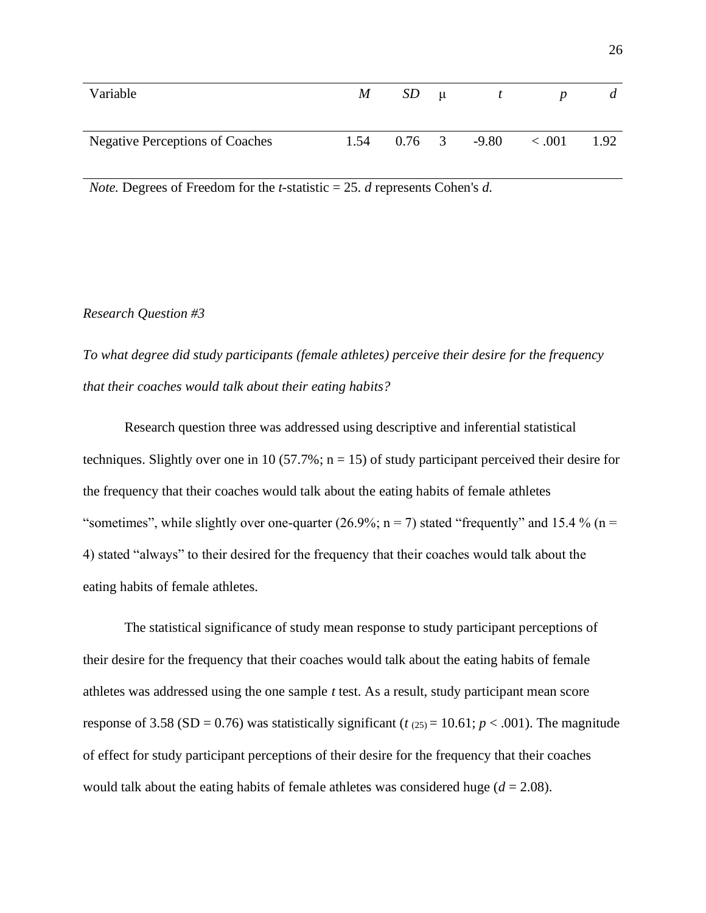| Variable                               | M     | SD | $\mu$ |                            |       | d    |
|----------------------------------------|-------|----|-------|----------------------------|-------|------|
| <b>Negative Perceptions of Coaches</b> | 1.54  |    |       | $0.76 \quad 3 \quad -9.80$ | <.001 | 1.92 |
| $\sim$ $\sim$<br>$\sim$ $-$<br>$ -$    | - - - |    | ____  |                            |       |      |

*Note.* Degrees of Freedom for the *t*-statistic = 25. *d* represents Cohen's *d.*

## *Research Question #3*

*To what degree did study participants (female athletes) perceive their desire for the frequency that their coaches would talk about their eating habits?*

Research question three was addressed using descriptive and inferential statistical techniques. Slightly over one in 10 (57.7%;  $n = 15$ ) of study participant perceived their desire for the frequency that their coaches would talk about the eating habits of female athletes "sometimes", while slightly over one-quarter (26.9%;  $n = 7$ ) stated "frequently" and 15.4 % ( $n =$ 4) stated "always" to their desired for the frequency that their coaches would talk about the eating habits of female athletes.

The statistical significance of study mean response to study participant perceptions of their desire for the frequency that their coaches would talk about the eating habits of female athletes was addressed using the one sample *t* test. As a result, study participant mean score response of 3.58 (SD = 0.76) was statistically significant ( $t_{(25)}$  = 10.61;  $p < .001$ ). The magnitude of effect for study participant perceptions of their desire for the frequency that their coaches would talk about the eating habits of female athletes was considered huge  $(d = 2.08)$ .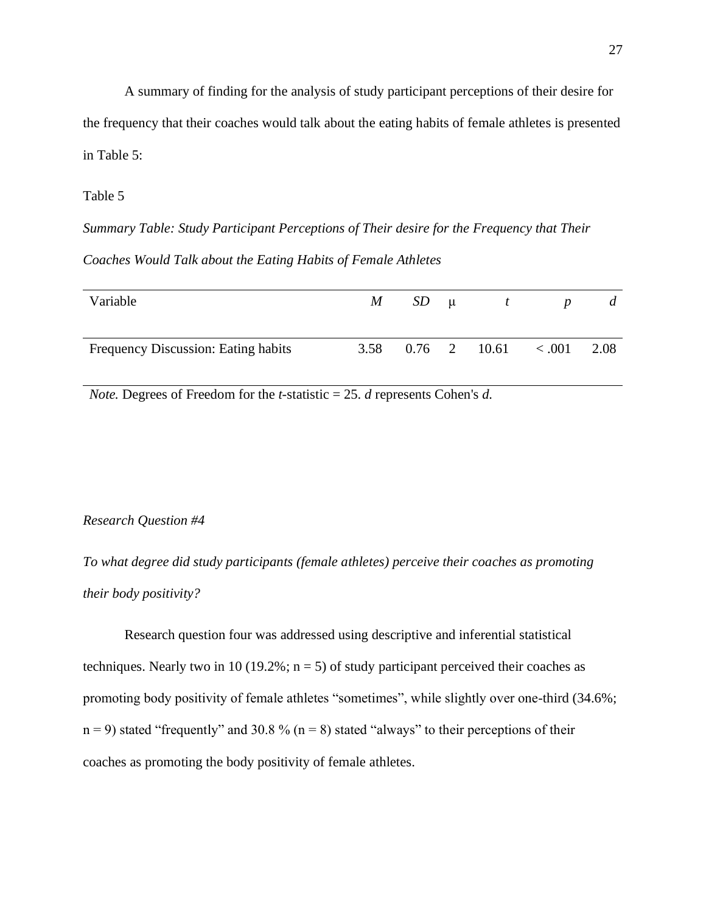A summary of finding for the analysis of study participant perceptions of their desire for the frequency that their coaches would talk about the eating habits of female athletes is presented in Table 5:

## Table 5

*Summary Table: Study Participant Perceptions of Their desire for the Frequency that Their Coaches Would Talk about the Eating Habits of Female Athletes*

| Variable                            | M | $SD \mu$ | $\mathbf{t}$               | p | a    |
|-------------------------------------|---|----------|----------------------------|---|------|
|                                     |   |          |                            |   |      |
| Frequency Discussion: Eating habits |   |          | 3.58 $0.76$ 2 10.61 < 0.01 |   | 2.08 |
|                                     |   |          |                            |   |      |

*Note.* Degrees of Freedom for the *t*-statistic = 25. *d* represents Cohen's *d.*

## *Research Question #4*

*To what degree did study participants (female athletes) perceive their coaches as promoting their body positivity?*

Research question four was addressed using descriptive and inferential statistical techniques. Nearly two in 10 (19.2%;  $n = 5$ ) of study participant perceived their coaches as promoting body positivity of female athletes "sometimes", while slightly over one-third (34.6%;  $n = 9$ ) stated "frequently" and 30.8 % ( $n = 8$ ) stated "always" to their perceptions of their coaches as promoting the body positivity of female athletes.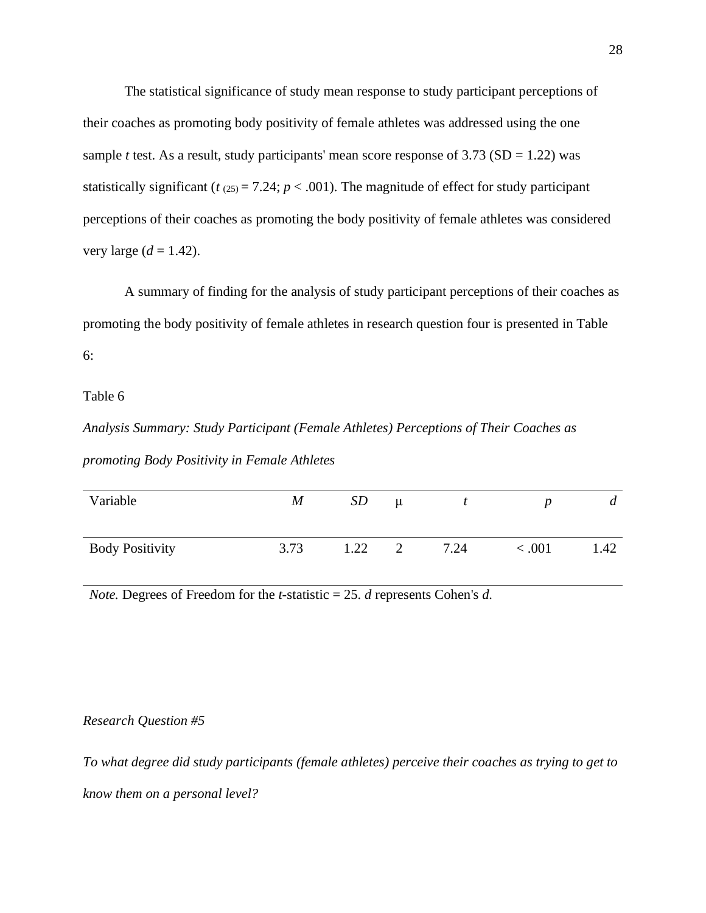The statistical significance of study mean response to study participant perceptions of their coaches as promoting body positivity of female athletes was addressed using the one sample *t* test. As a result, study participants' mean score response of  $3.73$  (SD = 1.22) was statistically significant ( $t_{(25)} = 7.24$ ;  $p < .001$ ). The magnitude of effect for study participant perceptions of their coaches as promoting the body positivity of female athletes was considered very large  $(d = 1.42)$ .

A summary of finding for the analysis of study participant perceptions of their coaches as promoting the body positivity of female athletes in research question four is presented in Table 6:

Table 6

*Analysis Summary: Study Participant (Female Athletes) Perceptions of Their Coaches as promoting Body Positivity in Female Athletes*

| Variable               | M    | SD   | $\mu$ |      |         | $\boldsymbol{a}$ |
|------------------------|------|------|-------|------|---------|------------------|
| <b>Body Positivity</b> | 3.73 | 1.22 |       | 7.24 | < 0.001 | 1.42             |

*Note.* Degrees of Freedom for the *t*-statistic = 25. *d* represents Cohen's *d.*

*Research Question #5*

*To what degree did study participants (female athletes) perceive their coaches as trying to get to know them on a personal level?*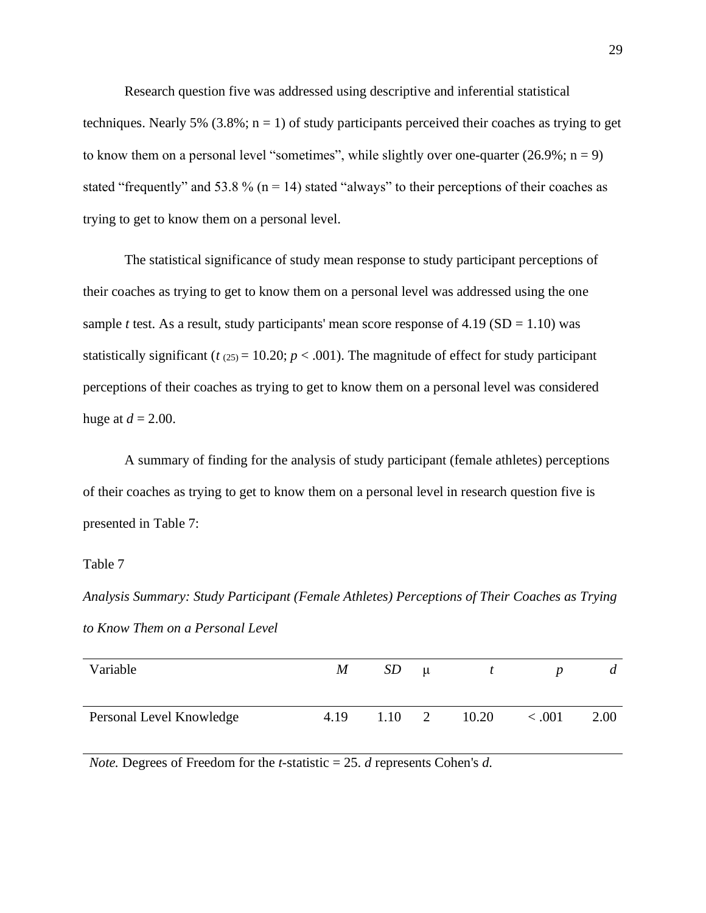Research question five was addressed using descriptive and inferential statistical techniques. Nearly 5% (3.8%;  $n = 1$ ) of study participants perceived their coaches as trying to get to know them on a personal level "sometimes", while slightly over one-quarter  $(26.9\%; n = 9)$ stated "frequently" and 53.8 % ( $n = 14$ ) stated "always" to their perceptions of their coaches as trying to get to know them on a personal level.

The statistical significance of study mean response to study participant perceptions of their coaches as trying to get to know them on a personal level was addressed using the one sample *t* test. As a result, study participants' mean score response of  $4.19$  (SD = 1.10) was statistically significant ( $t_{(25)} = 10.20$ ;  $p < .001$ ). The magnitude of effect for study participant perceptions of their coaches as trying to get to know them on a personal level was considered huge at  $d = 2.00$ .

A summary of finding for the analysis of study participant (female athletes) perceptions of their coaches as trying to get to know them on a personal level in research question five is presented in Table 7:

## Table 7

*Analysis Summary: Study Participant (Female Athletes) Perceptions of Their Coaches as Trying to Know Them on a Personal Level*

| Variable                 | M    | SD | $\mu$ |                            |        | a    |
|--------------------------|------|----|-------|----------------------------|--------|------|
| Personal Level Knowledge | 4.19 |    |       | $1.10 \quad 2 \quad 10.20$ | < .001 | 2.00 |

*Note.* Degrees of Freedom for the *t*-statistic = 25. *d* represents Cohen's *d.*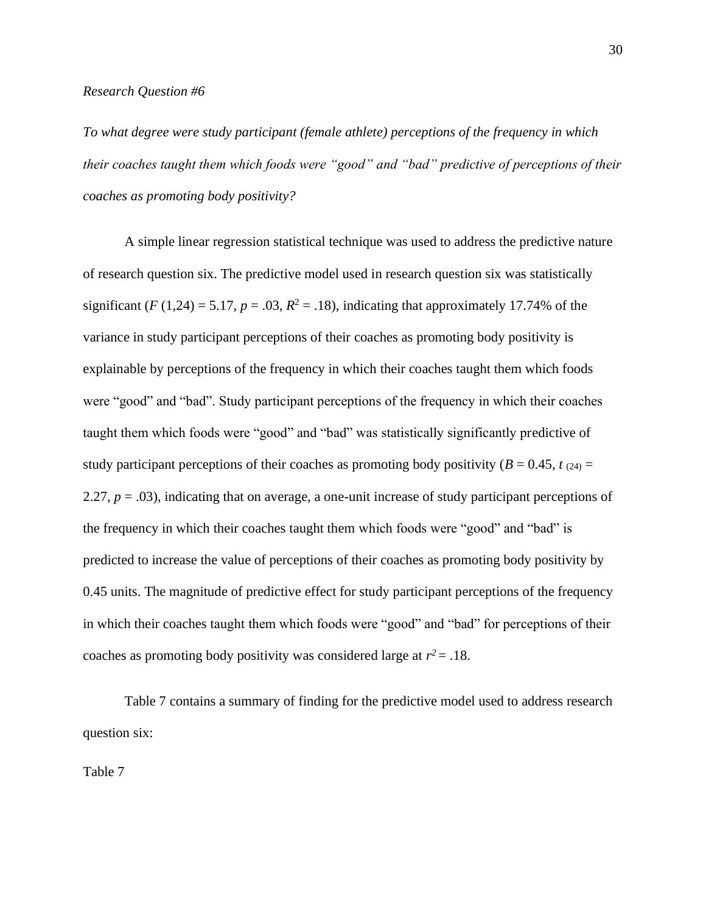*To what degree were study participant (female athlete) perceptions of the frequency in which their coaches taught them which foods were "good" and "bad" predictive of perceptions of their coaches as promoting body positivity?*

A simple linear regression statistical technique was used to address the predictive nature of research question six. The predictive model used in research question six was statistically significant (*F* (1,24) = 5.17,  $p = .03$ ,  $R^2 = .18$ ), indicating that approximately 17.74% of the variance in study participant perceptions of their coaches as promoting body positivity is explainable by perceptions of the frequency in which their coaches taught them which foods were "good" and "bad". Study participant perceptions of the frequency in which their coaches taught them which foods were "good" and "bad" was statistically significantly predictive of study participant perceptions of their coaches as promoting body positivity ( $B = 0.45$ ,  $t_{(24)} =$ 2.27, *p* = .03), indicating that on average, a one-unit increase of study participant perceptions of the frequency in which their coaches taught them which foods were "good" and "bad" is predicted to increase the value of perceptions of their coaches as promoting body positivity by 0.45 units. The magnitude of predictive effect for study participant perceptions of the frequency in which their coaches taught them which foods were "good" and "bad" for perceptions of their coaches as promoting body positivity was considered large at  $r^2 = .18$ .

Table 7 contains a summary of finding for the predictive model used to address research question six:

Table 7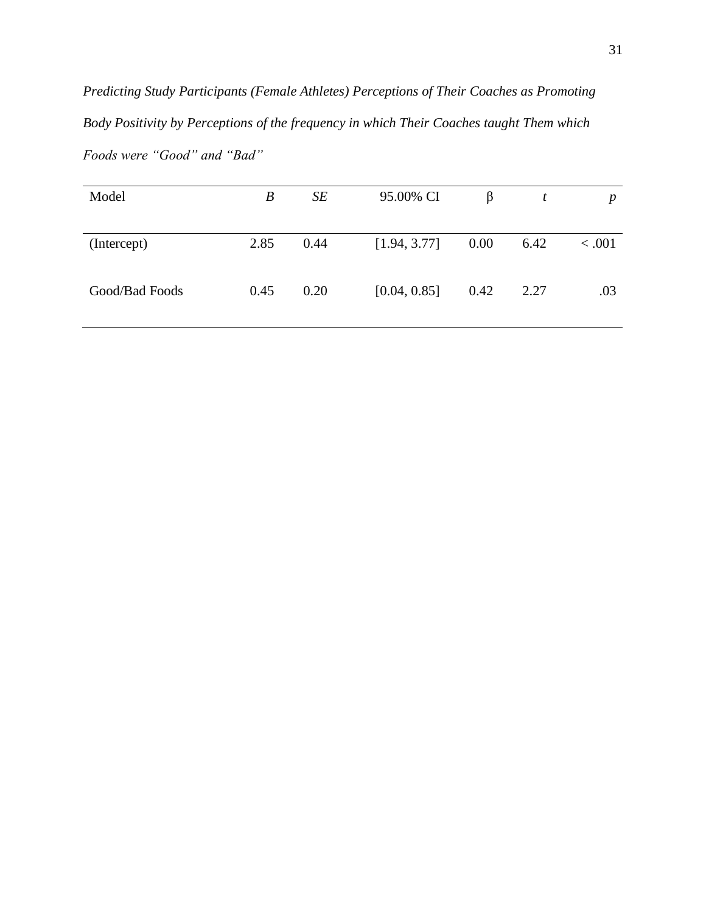*Predicting Study Participants (Female Athletes) Perceptions of Their Coaches as Promoting Body Positivity by Perceptions of the frequency in which Their Coaches taught Them which Foods were "Good" and "Bad"*

| 2.85<br>0.00<br>0.44<br>[1.94, 3.77]<br>6.42<br>(Intercept)<br>[0.04, 0.85]<br>0.42<br>Good/Bad Foods<br>0.45<br>0.20<br>2.27 | Model | $\boldsymbol{B}$ | SE | 95.00% CI | β | t | $\boldsymbol{p}$ |
|-------------------------------------------------------------------------------------------------------------------------------|-------|------------------|----|-----------|---|---|------------------|
|                                                                                                                               |       |                  |    |           |   |   | < .001           |
|                                                                                                                               |       |                  |    |           |   |   | .03              |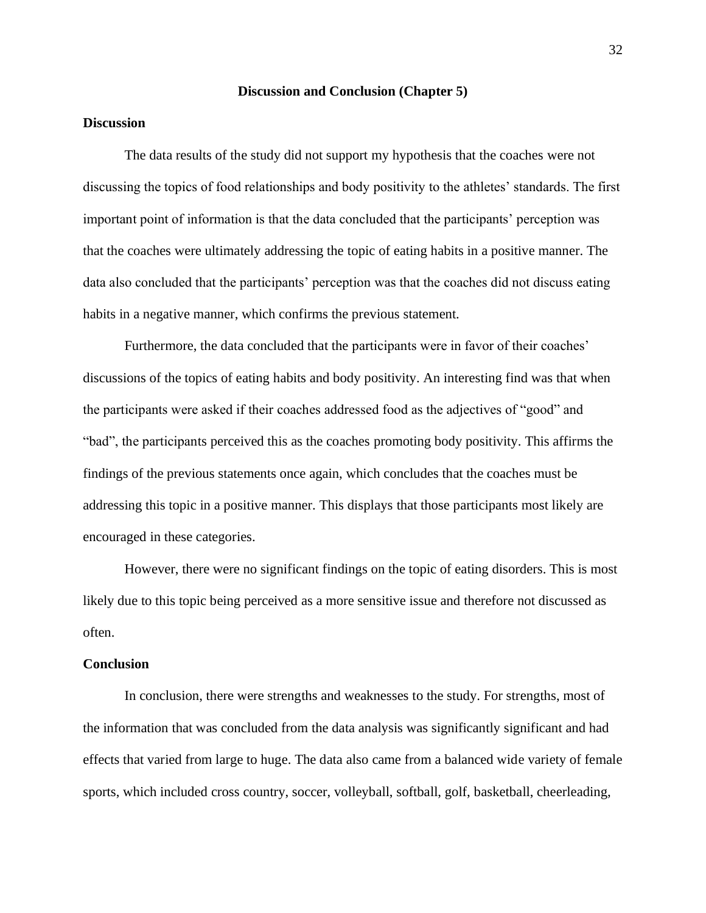## **Discussion and Conclusion (Chapter 5)**

## **Discussion**

The data results of the study did not support my hypothesis that the coaches were not discussing the topics of food relationships and body positivity to the athletes' standards. The first important point of information is that the data concluded that the participants' perception was that the coaches were ultimately addressing the topic of eating habits in a positive manner. The data also concluded that the participants' perception was that the coaches did not discuss eating habits in a negative manner, which confirms the previous statement.

Furthermore, the data concluded that the participants were in favor of their coaches' discussions of the topics of eating habits and body positivity. An interesting find was that when the participants were asked if their coaches addressed food as the adjectives of "good" and "bad", the participants perceived this as the coaches promoting body positivity. This affirms the findings of the previous statements once again, which concludes that the coaches must be addressing this topic in a positive manner. This displays that those participants most likely are encouraged in these categories.

However, there were no significant findings on the topic of eating disorders. This is most likely due to this topic being perceived as a more sensitive issue and therefore not discussed as often.

## **Conclusion**

In conclusion, there were strengths and weaknesses to the study. For strengths, most of the information that was concluded from the data analysis was significantly significant and had effects that varied from large to huge. The data also came from a balanced wide variety of female sports, which included cross country, soccer, volleyball, softball, golf, basketball, cheerleading,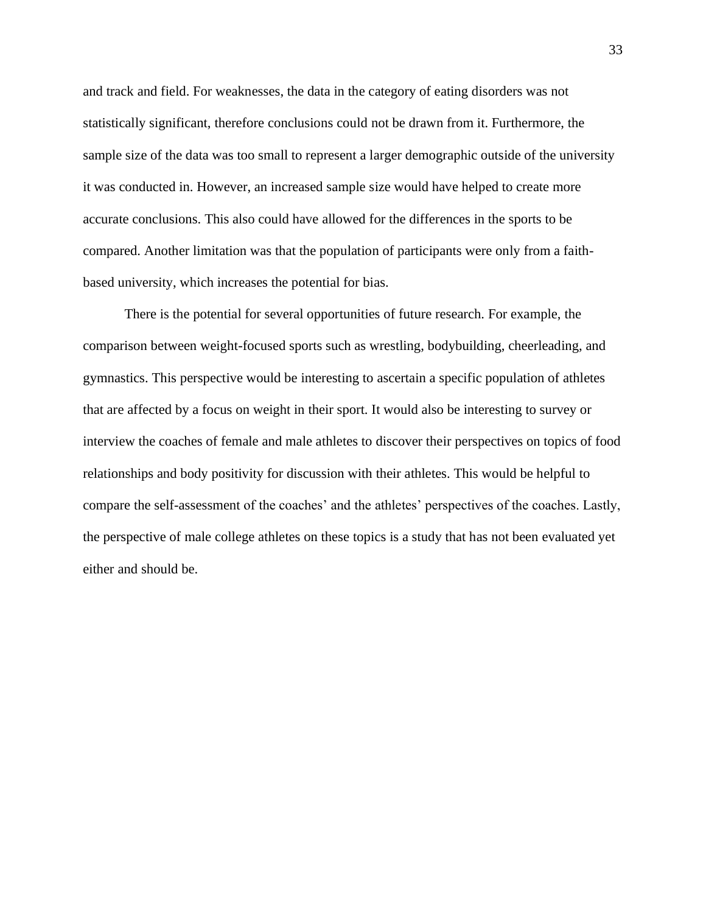and track and field. For weaknesses, the data in the category of eating disorders was not statistically significant, therefore conclusions could not be drawn from it. Furthermore, the sample size of the data was too small to represent a larger demographic outside of the university it was conducted in. However, an increased sample size would have helped to create more accurate conclusions. This also could have allowed for the differences in the sports to be compared. Another limitation was that the population of participants were only from a faithbased university, which increases the potential for bias.

There is the potential for several opportunities of future research. For example, the comparison between weight-focused sports such as wrestling, bodybuilding, cheerleading, and gymnastics. This perspective would be interesting to ascertain a specific population of athletes that are affected by a focus on weight in their sport. It would also be interesting to survey or interview the coaches of female and male athletes to discover their perspectives on topics of food relationships and body positivity for discussion with their athletes. This would be helpful to compare the self-assessment of the coaches' and the athletes' perspectives of the coaches. Lastly, the perspective of male college athletes on these topics is a study that has not been evaluated yet either and should be.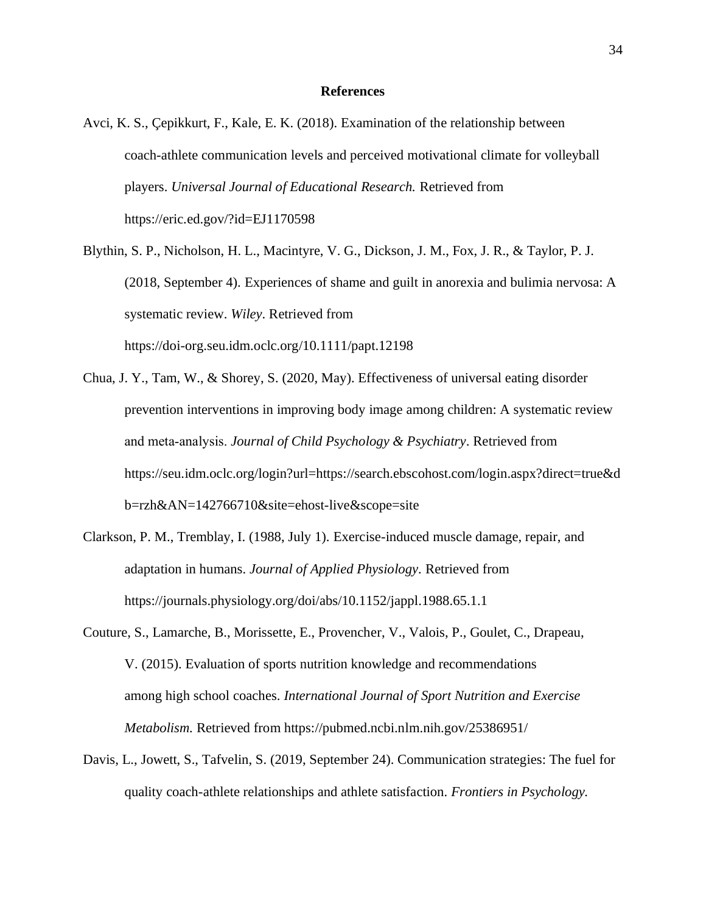#### **References**

- Avci, K. S., Çepikkurt, F., Kale, E. K. (2018). Examination of the relationship between coach-athlete communication levels and perceived motivational climate for volleyball players. *Universal Journal of Educational Research.* Retrieved from https://eric.ed.gov/?id=EJ1170598
- Blythin, S. P., Nicholson, H. L., Macintyre, V. G., Dickson, J. M., Fox, J. R., & Taylor, P. J. (2018, September 4). Experiences of shame and guilt in anorexia and bulimia nervosa: A systematic review. *Wiley*. Retrieved from https://doi-org.seu.idm.oclc.org/10.1111/papt.12198
- Chua, J. Y., Tam, W., & Shorey, S. (2020, May). Effectiveness of universal eating disorder prevention interventions in improving body image among children: A systematic review and meta‐analysis. *Journal of Child Psychology & Psychiatry*. Retrieved from https://seu.idm.oclc.org/login?url=https://search.ebscohost.com/login.aspx?direct=true&d b=rzh&AN=142766710&site=ehost-live&scope=site
- Clarkson, P. M., Tremblay, I. (1988, July 1). Exercise-induced muscle damage, repair, and adaptation in humans. *Journal of Applied Physiology.* Retrieved from https://journals.physiology.org/doi/abs/10.1152/jappl.1988.65.1.1
- Couture, S., Lamarche, B., Morissette, E., Provencher, V., Valois, P., Goulet, C., Drapeau, V. (2015). Evaluation of sports nutrition knowledge and recommendations among high school coaches. *International Journal of Sport Nutrition and Exercise Metabolism.* Retrieved from https://pubmed.ncbi.nlm.nih.gov/25386951/
- Davis, L., Jowett, S., Tafvelin, S. (2019, September 24). Communication strategies: The fuel for quality coach-athlete relationships and athlete satisfaction. *Frontiers in Psychology.*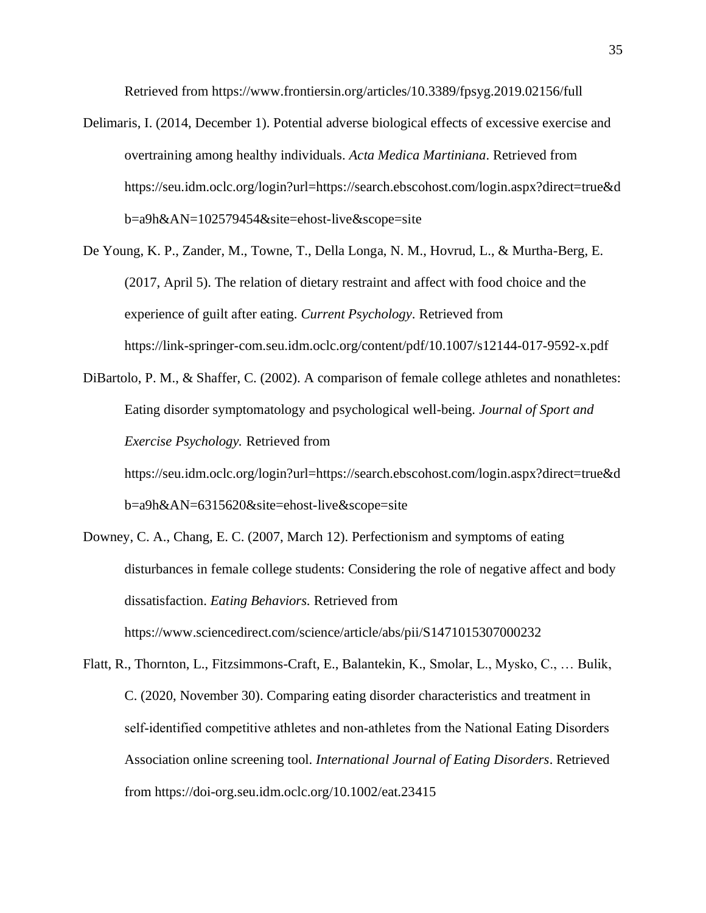Retrieved from https://www.frontiersin.org/articles/10.3389/fpsyg.2019.02156/full

- Delimaris, I. (2014, December 1). Potential adverse biological effects of excessive exercise and overtraining among healthy individuals. *Acta Medica Martiniana*. Retrieved from https://seu.idm.oclc.org/login?url=https://search.ebscohost.com/login.aspx?direct=true&d b=a9h&AN=102579454&site=ehost-live&scope=site
- De Young, K. P., Zander, M., Towne, T., Della Longa, N. M., Hovrud, L., & Murtha-Berg, E. (2017, April 5). The relation of dietary restraint and affect with food choice and the experience of guilt after eating. *Current Psychology*. Retrieved from https://link-springer-com.seu.idm.oclc.org/content/pdf/10.1007/s12144-017-9592-x.pdf
- DiBartolo, P. M., & Shaffer, C. (2002). A comparison of female college athletes and nonathletes: Eating disorder symptomatology and psychological well-being. *Journal of Sport and Exercise Psychology.* Retrieved from
	- https://seu.idm.oclc.org/login?url=https://search.ebscohost.com/login.aspx?direct=true&d b=a9h&AN=6315620&site=ehost-live&scope=site
- Downey, C. A., Chang, E. C. (2007, March 12). Perfectionism and symptoms of eating disturbances in female college students: Considering the role of negative affect and body dissatisfaction. *Eating Behaviors.* Retrieved from https://www.sciencedirect.com/science/article/abs/pii/S1471015307000232
- Flatt, R., Thornton, L., Fitzsimmons-Craft, E., Balantekin, K., Smolar, L., Mysko, C., … Bulik, C. (2020, November 30). Comparing eating disorder characteristics and treatment in self-identified competitive athletes and non-athletes from the National Eating Disorders Association online screening tool. *International Journal of Eating Disorders*. Retrieved from https://doi-org.seu.idm.oclc.org/10.1002/eat.23415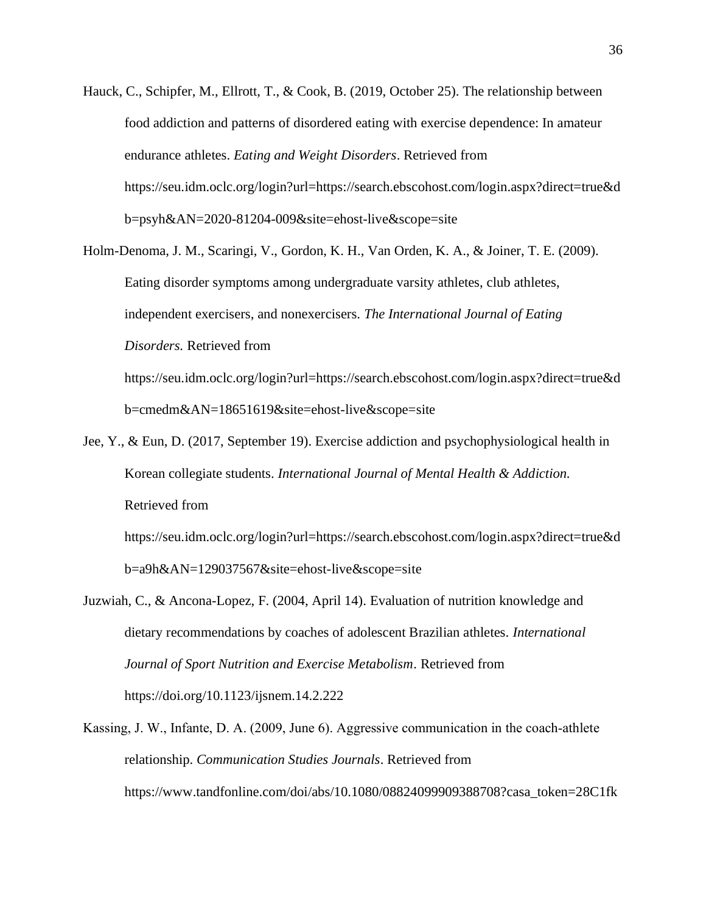- Hauck, C., Schipfer, M., Ellrott, T., & Cook, B. (2019, October 25). The relationship between food addiction and patterns of disordered eating with exercise dependence: In amateur endurance athletes. *Eating and Weight Disorders*. Retrieved from https://seu.idm.oclc.org/login?url=https://search.ebscohost.com/login.aspx?direct=true&d b=psyh&AN=2020-81204-009&site=ehost-live&scope=site
- Holm-Denoma, J. M., Scaringi, V., Gordon, K. H., Van Orden, K. A., & Joiner, T. E. (2009). Eating disorder symptoms among undergraduate varsity athletes, club athletes, independent exercisers, and nonexercisers. *The International Journal of Eating Disorders.* Retrieved from https://seu.idm.oclc.org/login?url=https://search.ebscohost.com/login.aspx?direct=true&d

b=cmedm&AN=18651619&site=ehost-live&scope=site

Jee, Y., & Eun, D. (2017, September 19). Exercise addiction and psychophysiological health in Korean collegiate students. *International Journal of Mental Health & Addiction.* Retrieved from https://seu.idm.oclc.org/login?url=https://search.ebscohost.com/login.aspx?direct=true&d

b=a9h&AN=129037567&site=ehost-live&scope=site

- Juzwiah, C., & Ancona-Lopez, F. (2004, April 14). Evaluation of nutrition knowledge and dietary recommendations by coaches of adolescent Brazilian athletes. *International Journal of Sport Nutrition and Exercise Metabolism*. Retrieved from https://doi.org/10.1123/ijsnem.14.2.222
- Kassing, J. W., Infante, D. A. (2009, June 6). Aggressive communication in the coach-athlete relationship. *Communication Studies Journals*. Retrieved from https://www.tandfonline.com/doi/abs/10.1080/08824099909388708?casa\_token=28C1fk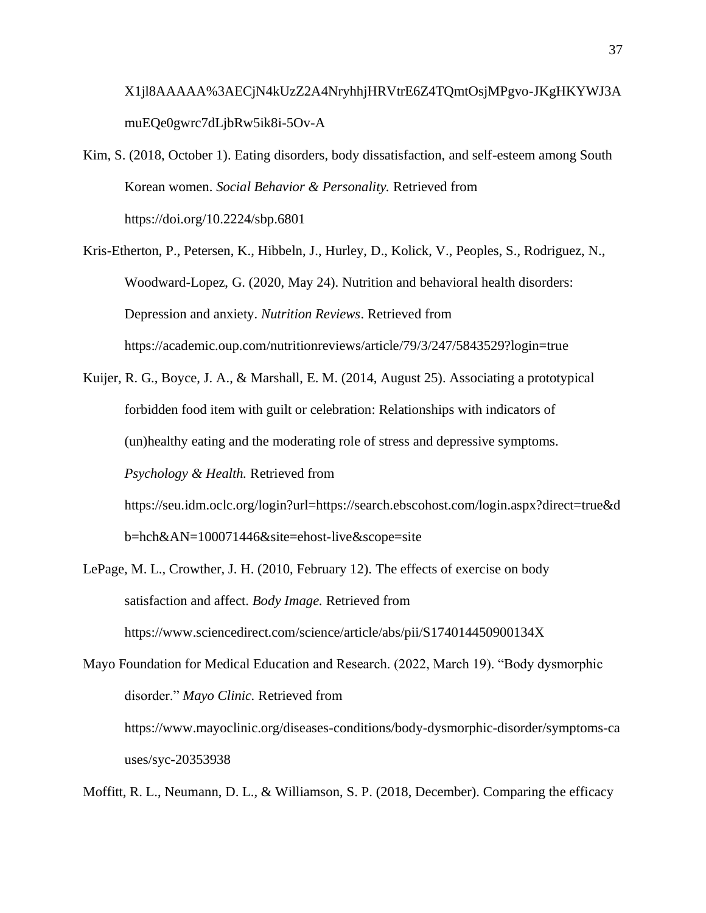X1jl8AAAAA%3AECjN4kUzZ2A4NryhhjHRVtrE6Z4TQmtOsjMPgvo-JKgHKYWJ3A muEQe0gwrc7dLjbRw5ik8i-5Ov-A

Kim, S. (2018, October 1). Eating disorders, body dissatisfaction, and self-esteem among South Korean women. *Social Behavior & Personality.* Retrieved from https://doi.org/10.2224/sbp.6801

Kris-Etherton, P., Petersen, K., Hibbeln, J., Hurley, D., Kolick, V., Peoples, S., Rodriguez, N., Woodward-Lopez, G. (2020, May 24). Nutrition and behavioral health disorders: Depression and anxiety. *Nutrition Reviews*. Retrieved from https://academic.oup.com/nutritionreviews/article/79/3/247/5843529?login=true

Kuijer, R. G., Boyce, J. A., & Marshall, E. M. (2014, August 25). Associating a prototypical forbidden food item with guilt or celebration: Relationships with indicators of (un)healthy eating and the moderating role of stress and depressive symptoms. *Psychology & Health.* Retrieved from

https://seu.idm.oclc.org/login?url=https://search.ebscohost.com/login.aspx?direct=true&d b=hch&AN=100071446&site=ehost-live&scope=site

LePage, M. L., Crowther, J. H. (2010, February 12). The effects of exercise on body satisfaction and affect. *Body Image.* Retrieved from https://www.sciencedirect.com/science/article/abs/pii/S174014450900134X

Mayo Foundation for Medical Education and Research. (2022, March 19). "Body dysmorphic disorder." *Mayo Clinic.* Retrieved from https://www.mayoclinic.org/diseases-conditions/body-dysmorphic-disorder/symptoms-ca uses/syc-20353938

Moffitt, R. L., Neumann, D. L., & Williamson, S. P. (2018, December). Comparing the efficacy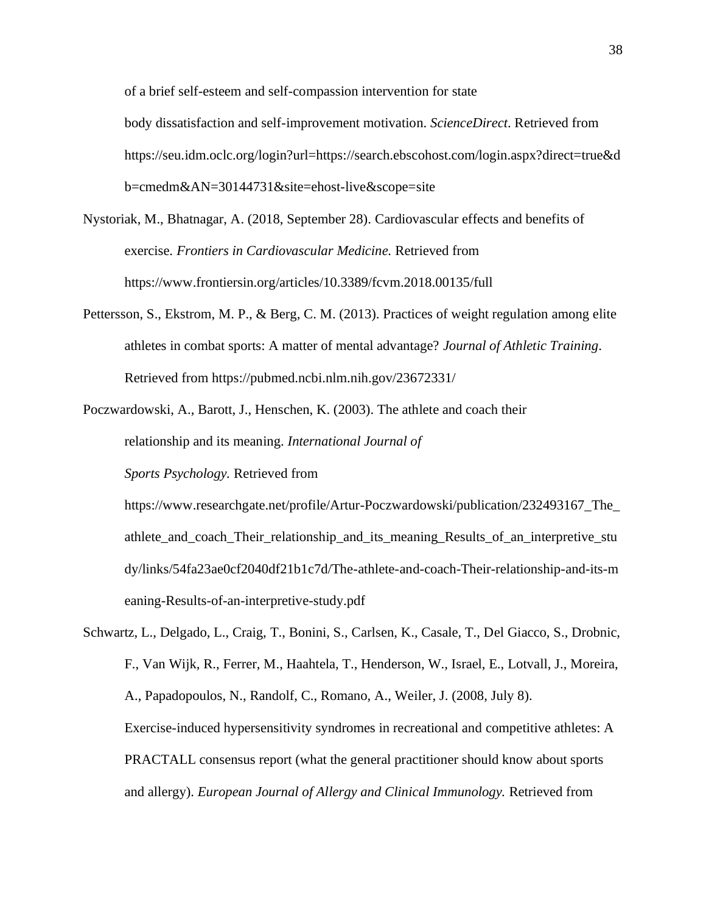of a brief self-esteem and self-compassion intervention for state body dissatisfaction and self-improvement motivation. *ScienceDirect*. Retrieved from https://seu.idm.oclc.org/login?url=https://search.ebscohost.com/login.aspx?direct=true&d b=cmedm&AN=30144731&site=ehost-live&scope=site

- Nystoriak, M., Bhatnagar, A. (2018, September 28). Cardiovascular effects and benefits of exercise. *Frontiers in Cardiovascular Medicine.* Retrieved from https://www.frontiersin.org/articles/10.3389/fcvm.2018.00135/full
- Pettersson, S., Ekstrom, M. P., & Berg, C. M. (2013). Practices of weight regulation among elite athletes in combat sports: A matter of mental advantage? *Journal of Athletic Training*. Retrieved from https://pubmed.ncbi.nlm.nih.gov/23672331/
- Poczwardowski, A., Barott, J., Henschen, K. (2003). The athlete and coach their relationship and its meaning. *International Journal of*

*Sports Psychology.* Retrieved from

https://www.researchgate.net/profile/Artur-Poczwardowski/publication/232493167\_The\_ athlete\_and\_coach\_Their\_relationship\_and\_its\_meaning\_Results\_of\_an\_interpretive\_stu dy/links/54fa23ae0cf2040df21b1c7d/The-athlete-and-coach-Their-relationship-and-its-m eaning-Results-of-an-interpretive-study.pdf

Schwartz, L., Delgado, L., Craig, T., Bonini, S., Carlsen, K., Casale, T., Del Giacco, S., Drobnic, F., Van Wijk, R., Ferrer, M., Haahtela, T., Henderson, W., Israel, E., Lotvall, J., Moreira, A., Papadopoulos, N., Randolf, C., Romano, A., Weiler, J. (2008, July 8). Exercise-induced hypersensitivity syndromes in recreational and competitive athletes: A PRACTALL consensus report (what the general practitioner should know about sports and allergy). *European Journal of Allergy and Clinical Immunology.* Retrieved from